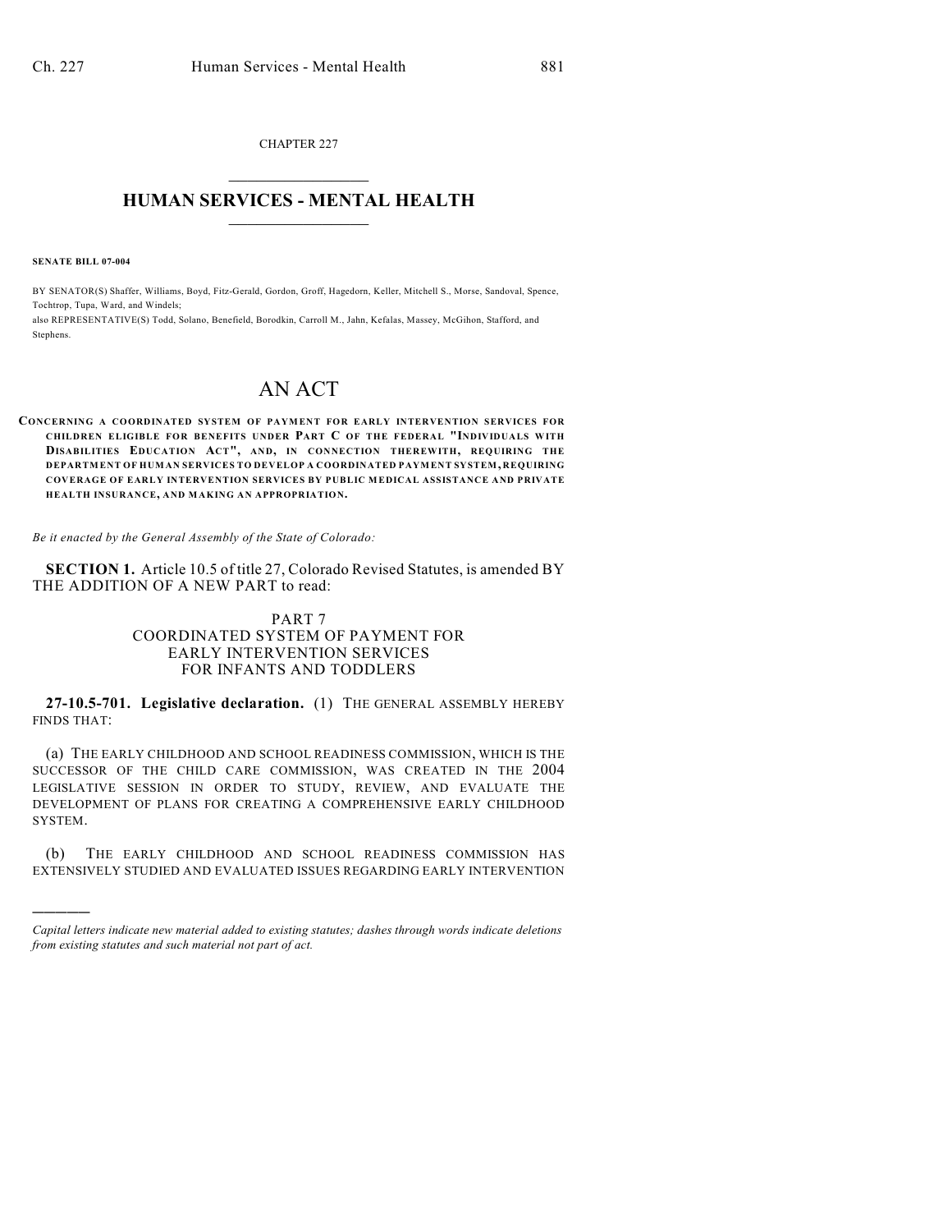CHAPTER 227  $\mathcal{L}_\text{max}$  . The set of the set of the set of the set of the set of the set of the set of the set of the set of the set of the set of the set of the set of the set of the set of the set of the set of the set of the set

## **HUMAN SERVICES - MENTAL HEALTH**  $\_$   $\_$   $\_$   $\_$   $\_$   $\_$   $\_$   $\_$   $\_$

**SENATE BILL 07-004**

)))))

BY SENATOR(S) Shaffer, Williams, Boyd, Fitz-Gerald, Gordon, Groff, Hagedorn, Keller, Mitchell S., Morse, Sandoval, Spence, Tochtrop, Tupa, Ward, and Windels;

also REPRESENTATIVE(S) Todd, Solano, Benefield, Borodkin, Carroll M., Jahn, Kefalas, Massey, McGihon, Stafford, and Stephens.

## AN ACT

**CONCERNING A COORDINATED SYSTEM OF PAYMENT FOR EARLY INTERVENTION SERVICES FOR CHILDREN ELIGIBLE FOR BENEFITS UNDER PART C OF THE FEDERAL "INDIVIDUALS WITH DISABILITIES EDUCATION ACT", AND, IN CONNECTION THEREWITH, REQUIRING THE DEPARTMENT OF HUMAN SERVICES TO DEVELOP A COORDINATED PAYMENT SYSTEM, REQUIRING COVERAGE OF EARLY INTERVENTION SERVICES BY PUBLIC MEDICAL ASSISTANCE AND PRIVATE HEALTH INSURANCE, AND MAKING AN APPROPRIATION.**

*Be it enacted by the General Assembly of the State of Colorado:*

**SECTION 1.** Article 10.5 of title 27, Colorado Revised Statutes, is amended BY THE ADDITION OF A NEW PART to read:

## PART 7 COORDINATED SYSTEM OF PAYMENT FOR EARLY INTERVENTION SERVICES FOR INFANTS AND TODDLERS

**27-10.5-701. Legislative declaration.** (1) THE GENERAL ASSEMBLY HEREBY FINDS THAT:

(a) THE EARLY CHILDHOOD AND SCHOOL READINESS COMMISSION, WHICH IS THE SUCCESSOR OF THE CHILD CARE COMMISSION, WAS CREATED IN THE 2004 LEGISLATIVE SESSION IN ORDER TO STUDY, REVIEW, AND EVALUATE THE DEVELOPMENT OF PLANS FOR CREATING A COMPREHENSIVE EARLY CHILDHOOD SYSTEM.

(b) THE EARLY CHILDHOOD AND SCHOOL READINESS COMMISSION HAS EXTENSIVELY STUDIED AND EVALUATED ISSUES REGARDING EARLY INTERVENTION

*Capital letters indicate new material added to existing statutes; dashes through words indicate deletions from existing statutes and such material not part of act.*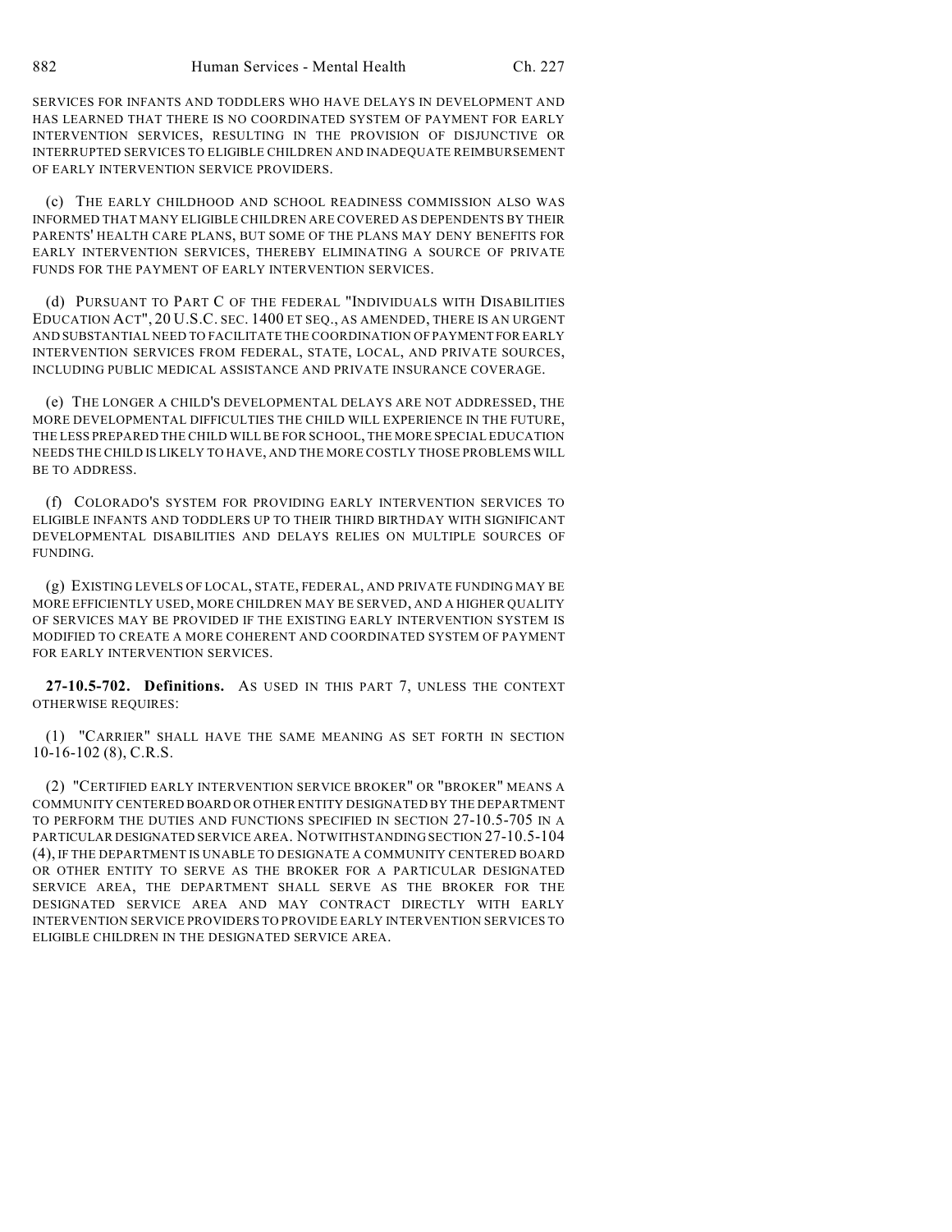SERVICES FOR INFANTS AND TODDLERS WHO HAVE DELAYS IN DEVELOPMENT AND HAS LEARNED THAT THERE IS NO COORDINATED SYSTEM OF PAYMENT FOR EARLY INTERVENTION SERVICES, RESULTING IN THE PROVISION OF DISJUNCTIVE OR INTERRUPTED SERVICES TO ELIGIBLE CHILDREN AND INADEQUATE REIMBURSEMENT OF EARLY INTERVENTION SERVICE PROVIDERS.

(c) THE EARLY CHILDHOOD AND SCHOOL READINESS COMMISSION ALSO WAS INFORMED THAT MANY ELIGIBLE CHILDREN ARE COVERED AS DEPENDENTS BY THEIR PARENTS' HEALTH CARE PLANS, BUT SOME OF THE PLANS MAY DENY BENEFITS FOR EARLY INTERVENTION SERVICES, THEREBY ELIMINATING A SOURCE OF PRIVATE FUNDS FOR THE PAYMENT OF EARLY INTERVENTION SERVICES.

(d) PURSUANT TO PART C OF THE FEDERAL "INDIVIDUALS WITH DISABILITIES EDUCATION ACT", 20 U.S.C. SEC. 1400 ET SEQ., AS AMENDED, THERE IS AN URGENT AND SUBSTANTIAL NEED TO FACILITATE THE COORDINATION OF PAYMENT FOR EARLY INTERVENTION SERVICES FROM FEDERAL, STATE, LOCAL, AND PRIVATE SOURCES, INCLUDING PUBLIC MEDICAL ASSISTANCE AND PRIVATE INSURANCE COVERAGE.

(e) THE LONGER A CHILD'S DEVELOPMENTAL DELAYS ARE NOT ADDRESSED, THE MORE DEVELOPMENTAL DIFFICULTIES THE CHILD WILL EXPERIENCE IN THE FUTURE, THE LESS PREPARED THE CHILD WILL BE FOR SCHOOL, THE MORE SPECIAL EDUCATION NEEDS THE CHILD IS LIKELY TO HAVE, AND THE MORE COSTLY THOSE PROBLEMS WILL BE TO ADDRESS.

(f) COLORADO'S SYSTEM FOR PROVIDING EARLY INTERVENTION SERVICES TO ELIGIBLE INFANTS AND TODDLERS UP TO THEIR THIRD BIRTHDAY WITH SIGNIFICANT DEVELOPMENTAL DISABILITIES AND DELAYS RELIES ON MULTIPLE SOURCES OF FUNDING.

(g) EXISTING LEVELS OF LOCAL, STATE, FEDERAL, AND PRIVATE FUNDING MAY BE MORE EFFICIENTLY USED, MORE CHILDREN MAY BE SERVED, AND A HIGHER QUALITY OF SERVICES MAY BE PROVIDED IF THE EXISTING EARLY INTERVENTION SYSTEM IS MODIFIED TO CREATE A MORE COHERENT AND COORDINATED SYSTEM OF PAYMENT FOR EARLY INTERVENTION SERVICES.

**27-10.5-702. Definitions.** AS USED IN THIS PART 7, UNLESS THE CONTEXT OTHERWISE REQUIRES:

(1) "CARRIER" SHALL HAVE THE SAME MEANING AS SET FORTH IN SECTION 10-16-102 (8), C.R.S.

(2) "CERTIFIED EARLY INTERVENTION SERVICE BROKER" OR "BROKER" MEANS A COMMUNITY CENTERED BOARD OR OTHER ENTITY DESIGNATED BY THE DEPARTMENT TO PERFORM THE DUTIES AND FUNCTIONS SPECIFIED IN SECTION 27-10.5-705 IN A PARTICULAR DESIGNATED SERVICE AREA. NOTWITHSTANDING SECTION 27-10.5-104 (4), IF THE DEPARTMENT IS UNABLE TO DESIGNATE A COMMUNITY CENTERED BOARD OR OTHER ENTITY TO SERVE AS THE BROKER FOR A PARTICULAR DESIGNATED SERVICE AREA, THE DEPARTMENT SHALL SERVE AS THE BROKER FOR THE DESIGNATED SERVICE AREA AND MAY CONTRACT DIRECTLY WITH EARLY INTERVENTION SERVICE PROVIDERS TO PROVIDE EARLY INTERVENTION SERVICES TO ELIGIBLE CHILDREN IN THE DESIGNATED SERVICE AREA.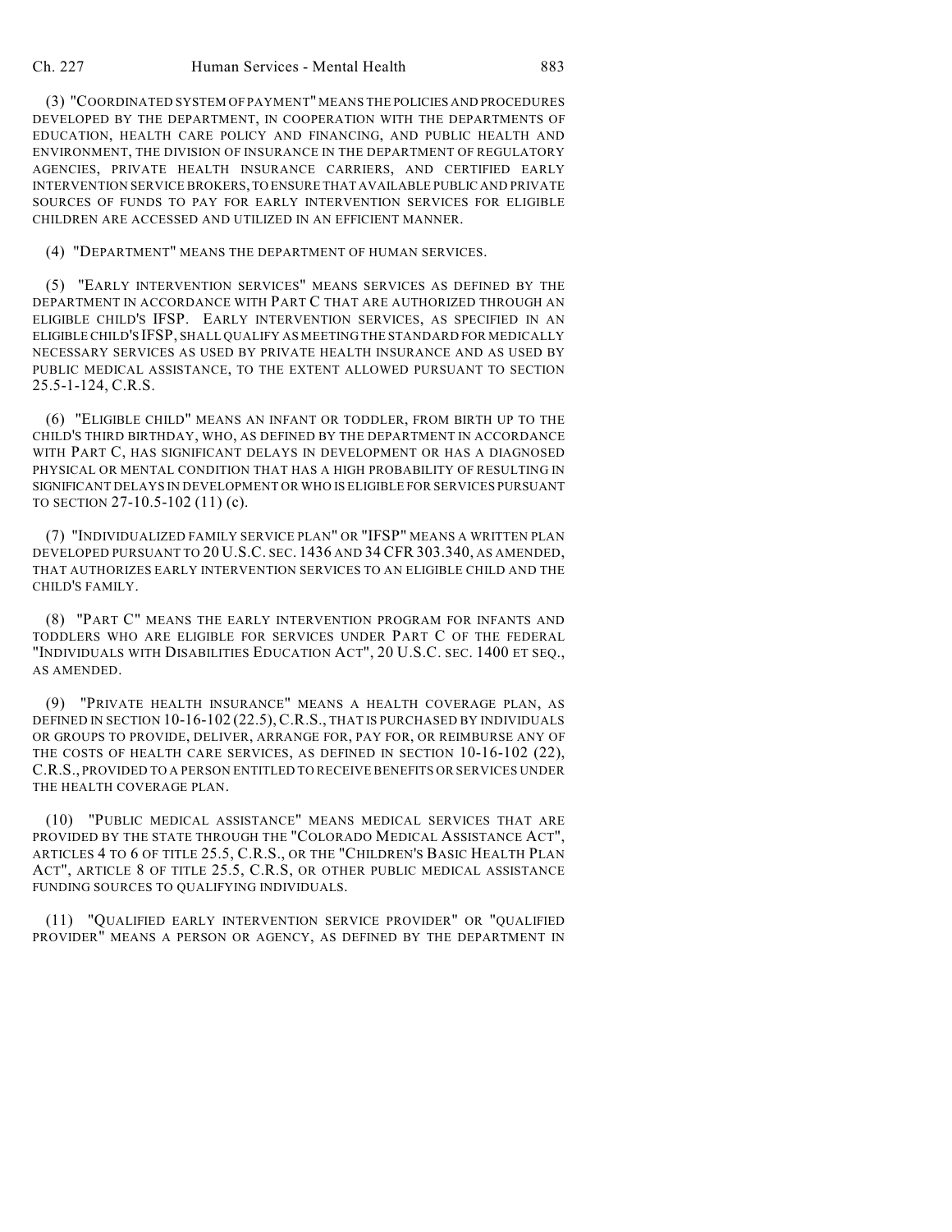(3) "COORDINATED SYSTEM OF PAYMENT" MEANS THE POLICIES AND PROCEDURES DEVELOPED BY THE DEPARTMENT, IN COOPERATION WITH THE DEPARTMENTS OF EDUCATION, HEALTH CARE POLICY AND FINANCING, AND PUBLIC HEALTH AND ENVIRONMENT, THE DIVISION OF INSURANCE IN THE DEPARTMENT OF REGULATORY AGENCIES, PRIVATE HEALTH INSURANCE CARRIERS, AND CERTIFIED EARLY INTERVENTION SERVICE BROKERS, TO ENSURE THAT AVAILABLE PUBLIC AND PRIVATE SOURCES OF FUNDS TO PAY FOR EARLY INTERVENTION SERVICES FOR ELIGIBLE CHILDREN ARE ACCESSED AND UTILIZED IN AN EFFICIENT MANNER.

(4) "DEPARTMENT" MEANS THE DEPARTMENT OF HUMAN SERVICES.

(5) "EARLY INTERVENTION SERVICES" MEANS SERVICES AS DEFINED BY THE DEPARTMENT IN ACCORDANCE WITH PART C THAT ARE AUTHORIZED THROUGH AN ELIGIBLE CHILD'S IFSP. EARLY INTERVENTION SERVICES, AS SPECIFIED IN AN ELIGIBLE CHILD'S IFSP, SHALL QUALIFY AS MEETING THE STANDARD FOR MEDICALLY NECESSARY SERVICES AS USED BY PRIVATE HEALTH INSURANCE AND AS USED BY PUBLIC MEDICAL ASSISTANCE, TO THE EXTENT ALLOWED PURSUANT TO SECTION 25.5-1-124, C.R.S.

(6) "ELIGIBLE CHILD" MEANS AN INFANT OR TODDLER, FROM BIRTH UP TO THE CHILD'S THIRD BIRTHDAY, WHO, AS DEFINED BY THE DEPARTMENT IN ACCORDANCE WITH PART C, HAS SIGNIFICANT DELAYS IN DEVELOPMENT OR HAS A DIAGNOSED PHYSICAL OR MENTAL CONDITION THAT HAS A HIGH PROBABILITY OF RESULTING IN SIGNIFICANT DELAYS IN DEVELOPMENT OR WHO IS ELIGIBLE FOR SERVICES PURSUANT TO SECTION 27-10.5-102 (11) (c).

(7) "INDIVIDUALIZED FAMILY SERVICE PLAN" OR "IFSP" MEANS A WRITTEN PLAN DEVELOPED PURSUANT TO 20 U.S.C. SEC. 1436 AND 34 CFR 303.340, AS AMENDED, THAT AUTHORIZES EARLY INTERVENTION SERVICES TO AN ELIGIBLE CHILD AND THE CHILD'S FAMILY.

(8) "PART C" MEANS THE EARLY INTERVENTION PROGRAM FOR INFANTS AND TODDLERS WHO ARE ELIGIBLE FOR SERVICES UNDER PART C OF THE FEDERAL "INDIVIDUALS WITH DISABILITIES EDUCATION ACT", 20 U.S.C. SEC. 1400 ET SEQ., AS AMENDED.

(9) "PRIVATE HEALTH INSURANCE" MEANS A HEALTH COVERAGE PLAN, AS DEFINED IN SECTION 10-16-102 (22.5), C.R.S., THAT IS PURCHASED BY INDIVIDUALS OR GROUPS TO PROVIDE, DELIVER, ARRANGE FOR, PAY FOR, OR REIMBURSE ANY OF THE COSTS OF HEALTH CARE SERVICES, AS DEFINED IN SECTION 10-16-102 (22), C.R.S., PROVIDED TO A PERSON ENTITLED TO RECEIVE BENEFITS OR SERVICES UNDER THE HEALTH COVERAGE PLAN.

(10) "PUBLIC MEDICAL ASSISTANCE" MEANS MEDICAL SERVICES THAT ARE PROVIDED BY THE STATE THROUGH THE "COLORADO MEDICAL ASSISTANCE ACT", ARTICLES 4 TO 6 OF TITLE 25.5, C.R.S., OR THE "CHILDREN'S BASIC HEALTH PLAN ACT", ARTICLE 8 OF TITLE 25.5, C.R.S, OR OTHER PUBLIC MEDICAL ASSISTANCE FUNDING SOURCES TO QUALIFYING INDIVIDUALS.

(11) "QUALIFIED EARLY INTERVENTION SERVICE PROVIDER" OR "QUALIFIED PROVIDER" MEANS A PERSON OR AGENCY, AS DEFINED BY THE DEPARTMENT IN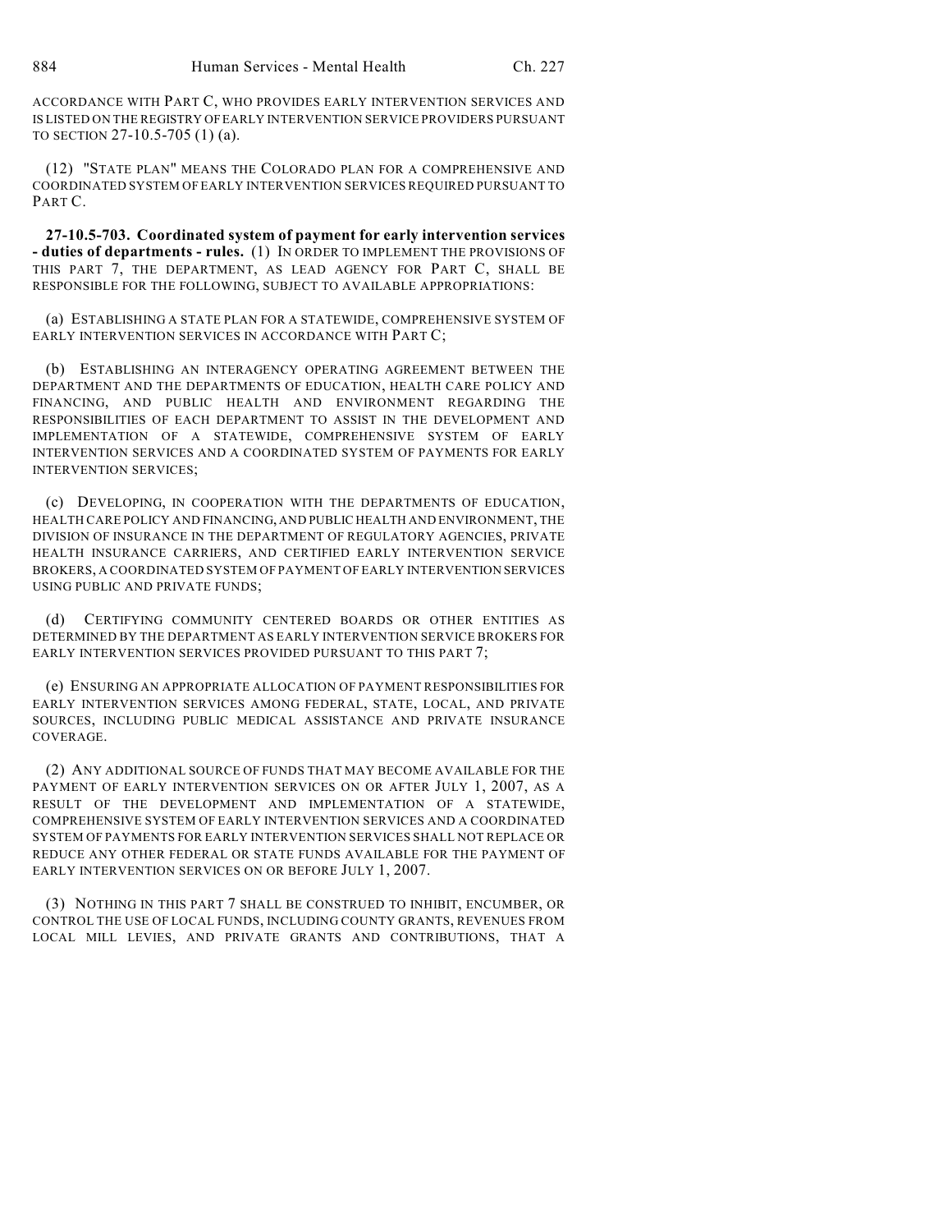ACCORDANCE WITH PART C, WHO PROVIDES EARLY INTERVENTION SERVICES AND IS LISTED ON THE REGISTRY OF EARLY INTERVENTION SERVICE PROVIDERS PURSUANT TO SECTION 27-10.5-705 (1) (a).

(12) "STATE PLAN" MEANS THE COLORADO PLAN FOR A COMPREHENSIVE AND COORDINATED SYSTEM OFEARLY INTERVENTION SERVICES REQUIRED PURSUANT TO PART C.

**27-10.5-703. Coordinated system of payment for early intervention services - duties of departments - rules.** (1) IN ORDER TO IMPLEMENT THE PROVISIONS OF THIS PART 7, THE DEPARTMENT, AS LEAD AGENCY FOR PART C, SHALL BE RESPONSIBLE FOR THE FOLLOWING, SUBJECT TO AVAILABLE APPROPRIATIONS:

(a) ESTABLISHING A STATE PLAN FOR A STATEWIDE, COMPREHENSIVE SYSTEM OF EARLY INTERVENTION SERVICES IN ACCORDANCE WITH PART C;

(b) ESTABLISHING AN INTERAGENCY OPERATING AGREEMENT BETWEEN THE DEPARTMENT AND THE DEPARTMENTS OF EDUCATION, HEALTH CARE POLICY AND FINANCING, AND PUBLIC HEALTH AND ENVIRONMENT REGARDING THE RESPONSIBILITIES OF EACH DEPARTMENT TO ASSIST IN THE DEVELOPMENT AND IMPLEMENTATION OF A STATEWIDE, COMPREHENSIVE SYSTEM OF EARLY INTERVENTION SERVICES AND A COORDINATED SYSTEM OF PAYMENTS FOR EARLY INTERVENTION SERVICES;

(c) DEVELOPING, IN COOPERATION WITH THE DEPARTMENTS OF EDUCATION, HEALTH CARE POLICY AND FINANCING, AND PUBLIC HEALTH AND ENVIRONMENT, THE DIVISION OF INSURANCE IN THE DEPARTMENT OF REGULATORY AGENCIES, PRIVATE HEALTH INSURANCE CARRIERS, AND CERTIFIED EARLY INTERVENTION SERVICE BROKERS, A COORDINATED SYSTEM OF PAYMENT OF EARLY INTERVENTION SERVICES USING PUBLIC AND PRIVATE FUNDS;

CERTIFYING COMMUNITY CENTERED BOARDS OR OTHER ENTITIES AS DETERMINED BY THE DEPARTMENT AS EARLY INTERVENTION SERVICE BROKERS FOR EARLY INTERVENTION SERVICES PROVIDED PURSUANT TO THIS PART 7;

(e) ENSURING AN APPROPRIATE ALLOCATION OF PAYMENT RESPONSIBILITIES FOR EARLY INTERVENTION SERVICES AMONG FEDERAL, STATE, LOCAL, AND PRIVATE SOURCES, INCLUDING PUBLIC MEDICAL ASSISTANCE AND PRIVATE INSURANCE COVERAGE.

(2) ANY ADDITIONAL SOURCE OF FUNDS THAT MAY BECOME AVAILABLE FOR THE PAYMENT OF EARLY INTERVENTION SERVICES ON OR AFTER JULY 1, 2007, AS A RESULT OF THE DEVELOPMENT AND IMPLEMENTATION OF A STATEWIDE, COMPREHENSIVE SYSTEM OF EARLY INTERVENTION SERVICES AND A COORDINATED SYSTEM OF PAYMENTS FOR EARLY INTERVENTION SERVICES SHALL NOT REPLACE OR REDUCE ANY OTHER FEDERAL OR STATE FUNDS AVAILABLE FOR THE PAYMENT OF EARLY INTERVENTION SERVICES ON OR BEFORE JULY 1, 2007.

(3) NOTHING IN THIS PART 7 SHALL BE CONSTRUED TO INHIBIT, ENCUMBER, OR CONTROL THE USE OF LOCAL FUNDS, INCLUDING COUNTY GRANTS, REVENUES FROM LOCAL MILL LEVIES, AND PRIVATE GRANTS AND CONTRIBUTIONS, THAT A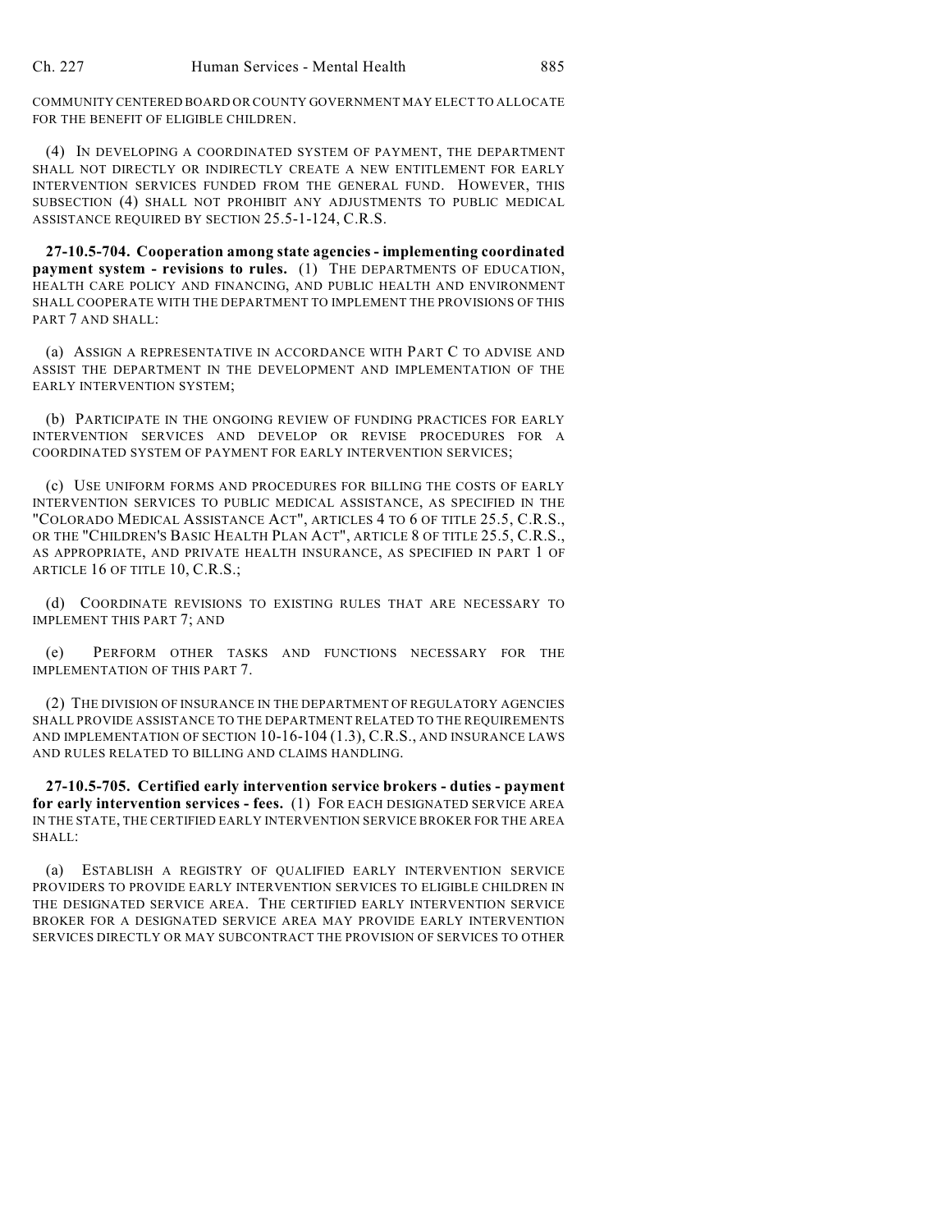COMMUNITY CENTERED BOARD OR COUNTY GOVERNMENT MAY ELECT TO ALLOCATE FOR THE BENEFIT OF ELIGIBLE CHILDREN.

(4) IN DEVELOPING A COORDINATED SYSTEM OF PAYMENT, THE DEPARTMENT SHALL NOT DIRECTLY OR INDIRECTLY CREATE A NEW ENTITLEMENT FOR EARLY INTERVENTION SERVICES FUNDED FROM THE GENERAL FUND. HOWEVER, THIS SUBSECTION (4) SHALL NOT PROHIBIT ANY ADJUSTMENTS TO PUBLIC MEDICAL ASSISTANCE REQUIRED BY SECTION 25.5-1-124, C.R.S.

**27-10.5-704. Cooperation among state agencies - implementing coordinated payment system - revisions to rules.** (1) THE DEPARTMENTS OF EDUCATION, HEALTH CARE POLICY AND FINANCING, AND PUBLIC HEALTH AND ENVIRONMENT SHALL COOPERATE WITH THE DEPARTMENT TO IMPLEMENT THE PROVISIONS OF THIS PART 7 AND SHALL:

(a) ASSIGN A REPRESENTATIVE IN ACCORDANCE WITH PART C TO ADVISE AND ASSIST THE DEPARTMENT IN THE DEVELOPMENT AND IMPLEMENTATION OF THE EARLY INTERVENTION SYSTEM;

(b) PARTICIPATE IN THE ONGOING REVIEW OF FUNDING PRACTICES FOR EARLY INTERVENTION SERVICES AND DEVELOP OR REVISE PROCEDURES FOR A COORDINATED SYSTEM OF PAYMENT FOR EARLY INTERVENTION SERVICES;

(c) USE UNIFORM FORMS AND PROCEDURES FOR BILLING THE COSTS OF EARLY INTERVENTION SERVICES TO PUBLIC MEDICAL ASSISTANCE, AS SPECIFIED IN THE "COLORADO MEDICAL ASSISTANCE ACT", ARTICLES 4 TO 6 OF TITLE 25.5, C.R.S., OR THE "CHILDREN'S BASIC HEALTH PLAN ACT", ARTICLE 8 OF TITLE 25.5, C.R.S., AS APPROPRIATE, AND PRIVATE HEALTH INSURANCE, AS SPECIFIED IN PART 1 OF ARTICLE 16 OF TITLE 10, C.R.S.;

(d) COORDINATE REVISIONS TO EXISTING RULES THAT ARE NECESSARY TO IMPLEMENT THIS PART 7; AND

(e) PERFORM OTHER TASKS AND FUNCTIONS NECESSARY FOR THE IMPLEMENTATION OF THIS PART 7.

(2) THE DIVISION OF INSURANCE IN THE DEPARTMENT OF REGULATORY AGENCIES SHALL PROVIDE ASSISTANCE TO THE DEPARTMENT RELATED TO THE REQUIREMENTS AND IMPLEMENTATION OF SECTION 10-16-104 (1.3), C.R.S., AND INSURANCE LAWS AND RULES RELATED TO BILLING AND CLAIMS HANDLING.

**27-10.5-705. Certified early intervention service brokers - duties - payment for early intervention services - fees.** (1) FOR EACH DESIGNATED SERVICE AREA IN THE STATE, THE CERTIFIED EARLY INTERVENTION SERVICE BROKER FOR THE AREA SHALL:

(a) ESTABLISH A REGISTRY OF QUALIFIED EARLY INTERVENTION SERVICE PROVIDERS TO PROVIDE EARLY INTERVENTION SERVICES TO ELIGIBLE CHILDREN IN THE DESIGNATED SERVICE AREA. THE CERTIFIED EARLY INTERVENTION SERVICE BROKER FOR A DESIGNATED SERVICE AREA MAY PROVIDE EARLY INTERVENTION SERVICES DIRECTLY OR MAY SUBCONTRACT THE PROVISION OF SERVICES TO OTHER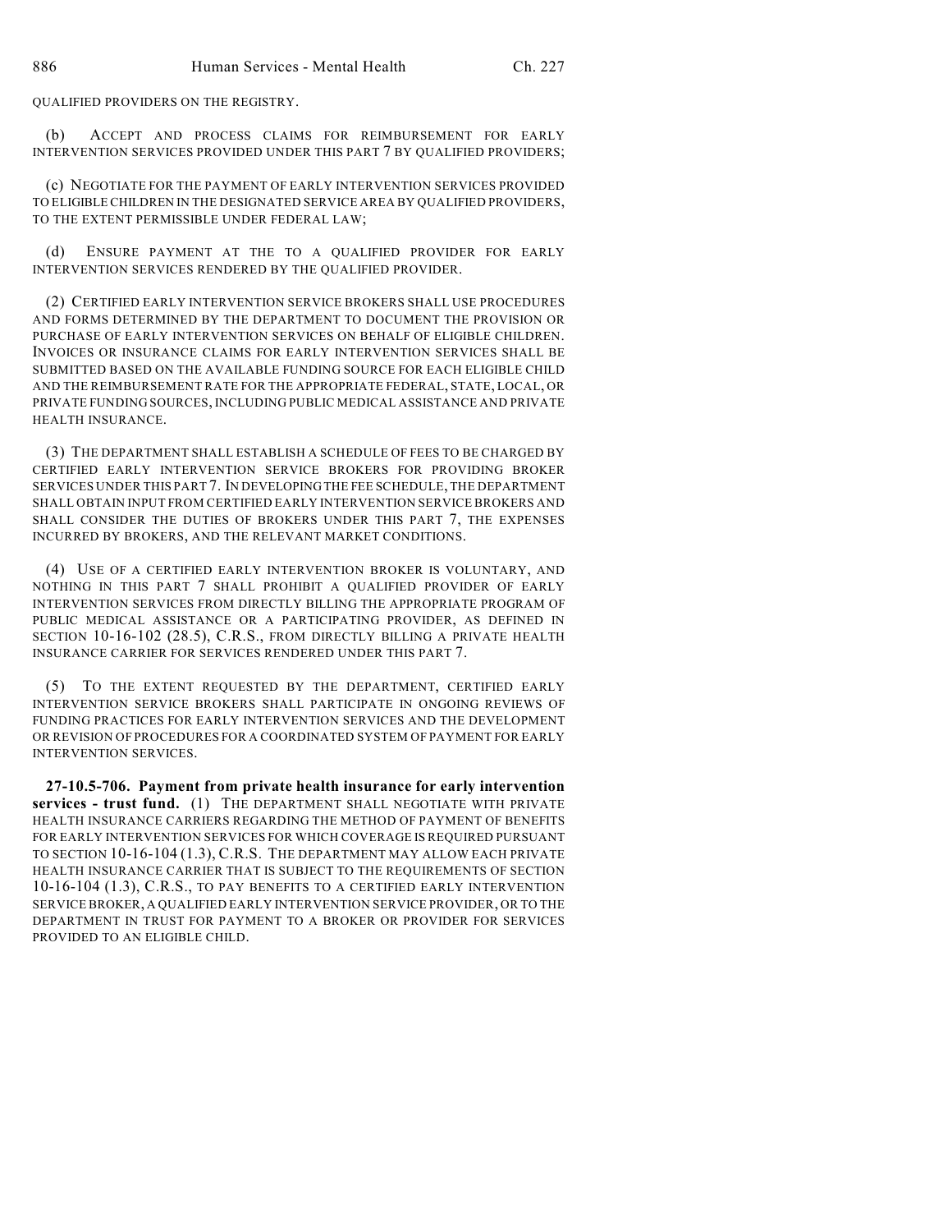QUALIFIED PROVIDERS ON THE REGISTRY.

(b) ACCEPT AND PROCESS CLAIMS FOR REIMBURSEMENT FOR EARLY INTERVENTION SERVICES PROVIDED UNDER THIS PART 7 BY QUALIFIED PROVIDERS;

(c) NEGOTIATE FOR THE PAYMENT OF EARLY INTERVENTION SERVICES PROVIDED TO ELIGIBLE CHILDREN IN THE DESIGNATED SERVICE AREA BY QUALIFIED PROVIDERS, TO THE EXTENT PERMISSIBLE UNDER FEDERAL LAW;

(d) ENSURE PAYMENT AT THE TO A QUALIFIED PROVIDER FOR EARLY INTERVENTION SERVICES RENDERED BY THE QUALIFIED PROVIDER.

(2) CERTIFIED EARLY INTERVENTION SERVICE BROKERS SHALL USE PROCEDURES AND FORMS DETERMINED BY THE DEPARTMENT TO DOCUMENT THE PROVISION OR PURCHASE OF EARLY INTERVENTION SERVICES ON BEHALF OF ELIGIBLE CHILDREN. INVOICES OR INSURANCE CLAIMS FOR EARLY INTERVENTION SERVICES SHALL BE SUBMITTED BASED ON THE AVAILABLE FUNDING SOURCE FOR EACH ELIGIBLE CHILD AND THE REIMBURSEMENT RATE FOR THE APPROPRIATE FEDERAL, STATE, LOCAL, OR PRIVATE FUNDING SOURCES, INCLUDING PUBLIC MEDICAL ASSISTANCE AND PRIVATE HEALTH INSURANCE.

(3) THE DEPARTMENT SHALL ESTABLISH A SCHEDULE OF FEES TO BE CHARGED BY CERTIFIED EARLY INTERVENTION SERVICE BROKERS FOR PROVIDING BROKER SERVICES UNDER THIS PART 7. IN DEVELOPING THE FEE SCHEDULE, THE DEPARTMENT SHALL OBTAIN INPUT FROM CERTIFIED EARLY INTERVENTION SERVICE BROKERS AND SHALL CONSIDER THE DUTIES OF BROKERS UNDER THIS PART 7, THE EXPENSES INCURRED BY BROKERS, AND THE RELEVANT MARKET CONDITIONS.

(4) USE OF A CERTIFIED EARLY INTERVENTION BROKER IS VOLUNTARY, AND NOTHING IN THIS PART 7 SHALL PROHIBIT A QUALIFIED PROVIDER OF EARLY INTERVENTION SERVICES FROM DIRECTLY BILLING THE APPROPRIATE PROGRAM OF PUBLIC MEDICAL ASSISTANCE OR A PARTICIPATING PROVIDER, AS DEFINED IN SECTION 10-16-102 (28.5), C.R.S., FROM DIRECTLY BILLING A PRIVATE HEALTH INSURANCE CARRIER FOR SERVICES RENDERED UNDER THIS PART 7.

(5) TO THE EXTENT REQUESTED BY THE DEPARTMENT, CERTIFIED EARLY INTERVENTION SERVICE BROKERS SHALL PARTICIPATE IN ONGOING REVIEWS OF FUNDING PRACTICES FOR EARLY INTERVENTION SERVICES AND THE DEVELOPMENT OR REVISION OF PROCEDURES FOR A COORDINATED SYSTEM OF PAYMENT FOR EARLY INTERVENTION SERVICES.

**27-10.5-706. Payment from private health insurance for early intervention services - trust fund.** (1) THE DEPARTMENT SHALL NEGOTIATE WITH PRIVATE HEALTH INSURANCE CARRIERS REGARDING THE METHOD OF PAYMENT OF BENEFITS FOR EARLY INTERVENTION SERVICES FOR WHICH COVERAGE IS REQUIRED PURSUANT TO SECTION 10-16-104 (1.3), C.R.S. THE DEPARTMENT MAY ALLOW EACH PRIVATE HEALTH INSURANCE CARRIER THAT IS SUBJECT TO THE REQUIREMENTS OF SECTION 10-16-104 (1.3), C.R.S., TO PAY BENEFITS TO A CERTIFIED EARLY INTERVENTION SERVICE BROKER, A QUALIFIED EARLY INTERVENTION SERVICE PROVIDER, OR TO THE DEPARTMENT IN TRUST FOR PAYMENT TO A BROKER OR PROVIDER FOR SERVICES PROVIDED TO AN ELIGIBLE CHILD.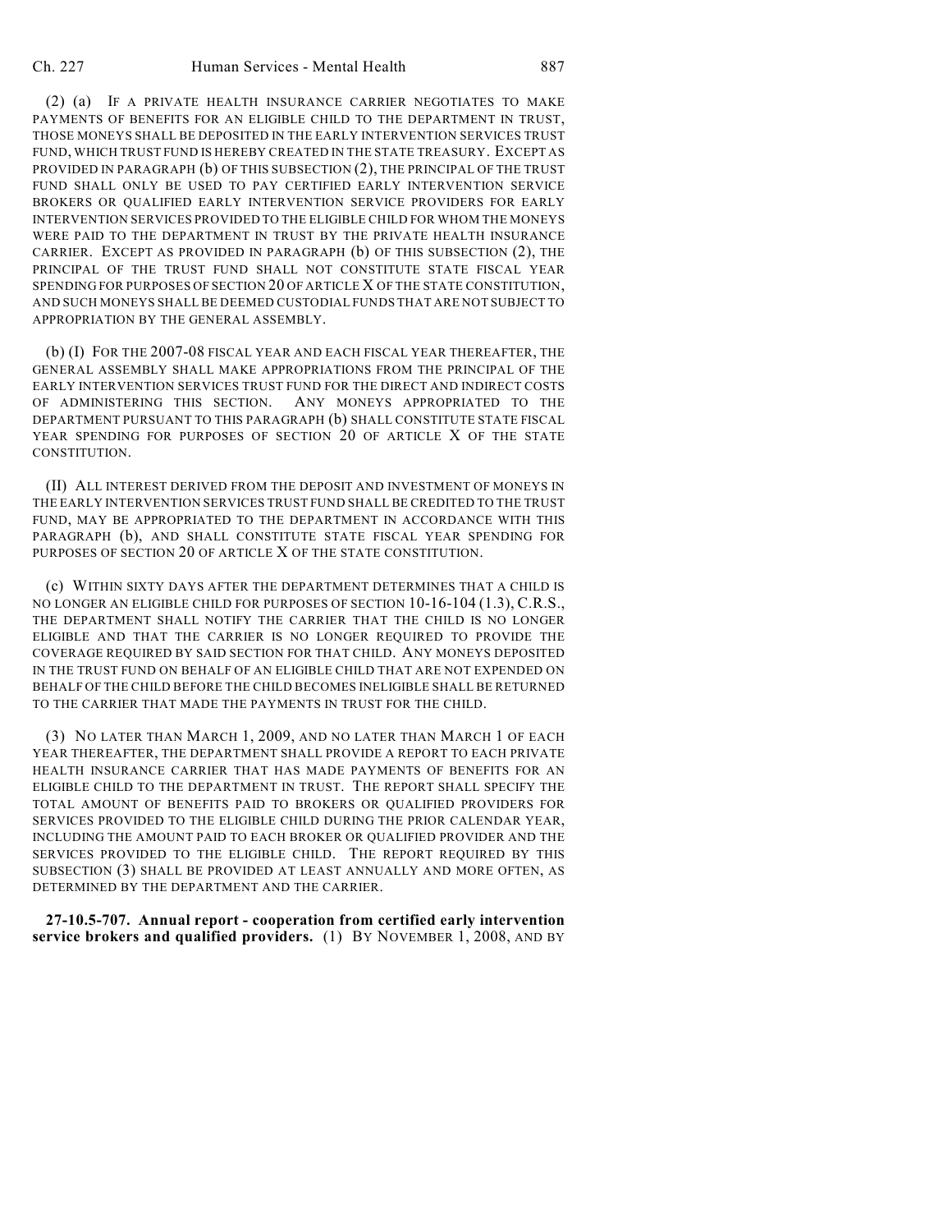(2) (a) IF A PRIVATE HEALTH INSURANCE CARRIER NEGOTIATES TO MAKE PAYMENTS OF BENEFITS FOR AN ELIGIBLE CHILD TO THE DEPARTMENT IN TRUST, THOSE MONEYS SHALL BE DEPOSITED IN THE EARLY INTERVENTION SERVICES TRUST FUND, WHICH TRUST FUND IS HEREBY CREATED IN THE STATE TREASURY. EXCEPT AS PROVIDED IN PARAGRAPH (b) OF THIS SUBSECTION (2), THE PRINCIPAL OF THE TRUST FUND SHALL ONLY BE USED TO PAY CERTIFIED EARLY INTERVENTION SERVICE BROKERS OR QUALIFIED EARLY INTERVENTION SERVICE PROVIDERS FOR EARLY INTERVENTION SERVICES PROVIDED TO THE ELIGIBLE CHILD FOR WHOM THE MONEYS WERE PAID TO THE DEPARTMENT IN TRUST BY THE PRIVATE HEALTH INSURANCE CARRIER. EXCEPT AS PROVIDED IN PARAGRAPH (b) OF THIS SUBSECTION (2), THE PRINCIPAL OF THE TRUST FUND SHALL NOT CONSTITUTE STATE FISCAL YEAR SPENDING FOR PURPOSES OF SECTION 20 OF ARTICLE X OF THE STATE CONSTITUTION, AND SUCH MONEYS SHALL BE DEEMED CUSTODIAL FUNDS THAT ARE NOT SUBJECT TO APPROPRIATION BY THE GENERAL ASSEMBLY.

(b) (I) FOR THE 2007-08 FISCAL YEAR AND EACH FISCAL YEAR THEREAFTER, THE GENERAL ASSEMBLY SHALL MAKE APPROPRIATIONS FROM THE PRINCIPAL OF THE EARLY INTERVENTION SERVICES TRUST FUND FOR THE DIRECT AND INDIRECT COSTS OF ADMINISTERING THIS SECTION. ANY MONEYS APPROPRIATED TO THE DEPARTMENT PURSUANT TO THIS PARAGRAPH (b) SHALL CONSTITUTE STATE FISCAL YEAR SPENDING FOR PURPOSES OF SECTION 20 OF ARTICLE X OF THE STATE CONSTITUTION.

(II) ALL INTEREST DERIVED FROM THE DEPOSIT AND INVESTMENT OF MONEYS IN THE EARLY INTERVENTION SERVICES TRUST FUND SHALL BE CREDITED TO THE TRUST FUND, MAY BE APPROPRIATED TO THE DEPARTMENT IN ACCORDANCE WITH THIS PARAGRAPH (b), AND SHALL CONSTITUTE STATE FISCAL YEAR SPENDING FOR PURPOSES OF SECTION 20 OF ARTICLE X OF THE STATE CONSTITUTION.

(c) WITHIN SIXTY DAYS AFTER THE DEPARTMENT DETERMINES THAT A CHILD IS NO LONGER AN ELIGIBLE CHILD FOR PURPOSES OF SECTION 10-16-104 (1.3), C.R.S., THE DEPARTMENT SHALL NOTIFY THE CARRIER THAT THE CHILD IS NO LONGER ELIGIBLE AND THAT THE CARRIER IS NO LONGER REQUIRED TO PROVIDE THE COVERAGE REQUIRED BY SAID SECTION FOR THAT CHILD. ANY MONEYS DEPOSITED IN THE TRUST FUND ON BEHALF OF AN ELIGIBLE CHILD THAT ARE NOT EXPENDED ON BEHALF OF THE CHILD BEFORE THE CHILD BECOMES INELIGIBLE SHALL BE RETURNED TO THE CARRIER THAT MADE THE PAYMENTS IN TRUST FOR THE CHILD.

(3) NO LATER THAN MARCH 1, 2009, AND NO LATER THAN MARCH 1 OF EACH YEAR THEREAFTER, THE DEPARTMENT SHALL PROVIDE A REPORT TO EACH PRIVATE HEALTH INSURANCE CARRIER THAT HAS MADE PAYMENTS OF BENEFITS FOR AN ELIGIBLE CHILD TO THE DEPARTMENT IN TRUST. THE REPORT SHALL SPECIFY THE TOTAL AMOUNT OF BENEFITS PAID TO BROKERS OR QUALIFIED PROVIDERS FOR SERVICES PROVIDED TO THE ELIGIBLE CHILD DURING THE PRIOR CALENDAR YEAR, INCLUDING THE AMOUNT PAID TO EACH BROKER OR QUALIFIED PROVIDER AND THE SERVICES PROVIDED TO THE ELIGIBLE CHILD. THE REPORT REQUIRED BY THIS SUBSECTION (3) SHALL BE PROVIDED AT LEAST ANNUALLY AND MORE OFTEN, AS DETERMINED BY THE DEPARTMENT AND THE CARRIER.

**27-10.5-707. Annual report - cooperation from certified early intervention service brokers and qualified providers.** (1) BY NOVEMBER 1, 2008, AND BY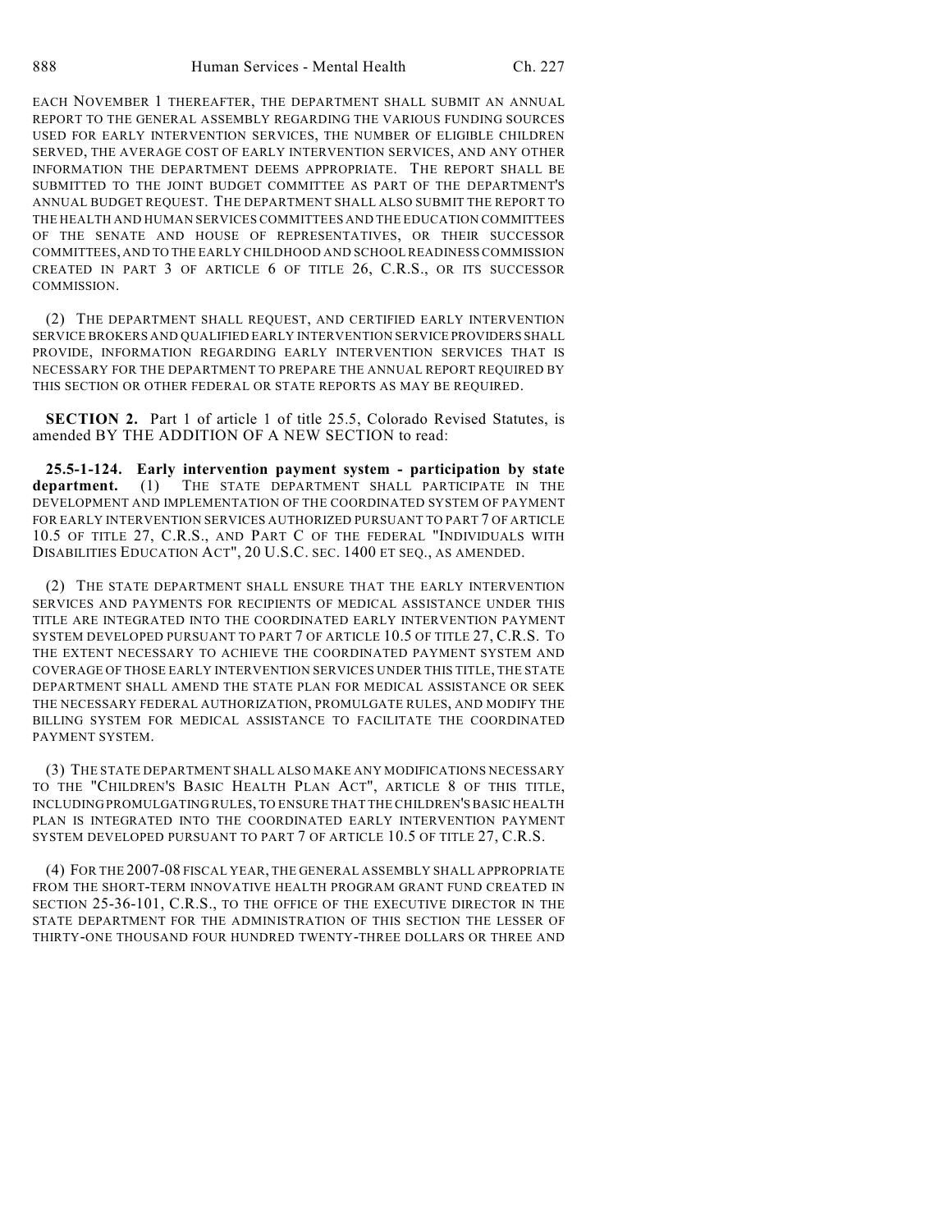EACH NOVEMBER 1 THEREAFTER, THE DEPARTMENT SHALL SUBMIT AN ANNUAL REPORT TO THE GENERAL ASSEMBLY REGARDING THE VARIOUS FUNDING SOURCES USED FOR EARLY INTERVENTION SERVICES, THE NUMBER OF ELIGIBLE CHILDREN SERVED, THE AVERAGE COST OF EARLY INTERVENTION SERVICES, AND ANY OTHER INFORMATION THE DEPARTMENT DEEMS APPROPRIATE. THE REPORT SHALL BE SUBMITTED TO THE JOINT BUDGET COMMITTEE AS PART OF THE DEPARTMENT'S ANNUAL BUDGET REQUEST. THE DEPARTMENT SHALL ALSO SUBMIT THE REPORT TO THE HEALTH AND HUMAN SERVICES COMMITTEES AND THE EDUCATION COMMITTEES OF THE SENATE AND HOUSE OF REPRESENTATIVES, OR THEIR SUCCESSOR COMMITTEES, AND TO THE EARLY CHILDHOOD AND SCHOOL READINESS COMMISSION CREATED IN PART 3 OF ARTICLE 6 OF TITLE 26, C.R.S., OR ITS SUCCESSOR COMMISSION.

(2) THE DEPARTMENT SHALL REQUEST, AND CERTIFIED EARLY INTERVENTION SERVICE BROKERS AND QUALIFIED EARLY INTERVENTION SERVICE PROVIDERS SHALL PROVIDE, INFORMATION REGARDING EARLY INTERVENTION SERVICES THAT IS NECESSARY FOR THE DEPARTMENT TO PREPARE THE ANNUAL REPORT REQUIRED BY THIS SECTION OR OTHER FEDERAL OR STATE REPORTS AS MAY BE REQUIRED.

**SECTION 2.** Part 1 of article 1 of title 25.5, Colorado Revised Statutes, is amended BY THE ADDITION OF A NEW SECTION to read:

**25.5-1-124. Early intervention payment system - participation by state department.** (1) THE STATE DEPARTMENT SHALL PARTICIPATE IN THE DEVELOPMENT AND IMPLEMENTATION OF THE COORDINATED SYSTEM OF PAYMENT FOR EARLY INTERVENTION SERVICES AUTHORIZED PURSUANT TO PART 7 OF ARTICLE 10.5 OF TITLE 27, C.R.S., AND PART C OF THE FEDERAL "INDIVIDUALS WITH DISABILITIES EDUCATION ACT", 20 U.S.C. SEC. 1400 ET SEQ., AS AMENDED.

(2) THE STATE DEPARTMENT SHALL ENSURE THAT THE EARLY INTERVENTION SERVICES AND PAYMENTS FOR RECIPIENTS OF MEDICAL ASSISTANCE UNDER THIS TITLE ARE INTEGRATED INTO THE COORDINATED EARLY INTERVENTION PAYMENT SYSTEM DEVELOPED PURSUANT TO PART 7 OF ARTICLE 10.5 OF TITLE 27, C.R.S. TO THE EXTENT NECESSARY TO ACHIEVE THE COORDINATED PAYMENT SYSTEM AND COVERAGE OF THOSE EARLY INTERVENTION SERVICES UNDER THIS TITLE, THE STATE DEPARTMENT SHALL AMEND THE STATE PLAN FOR MEDICAL ASSISTANCE OR SEEK THE NECESSARY FEDERAL AUTHORIZATION, PROMULGATE RULES, AND MODIFY THE BILLING SYSTEM FOR MEDICAL ASSISTANCE TO FACILITATE THE COORDINATED PAYMENT SYSTEM.

(3) THE STATE DEPARTMENT SHALL ALSO MAKE ANY MODIFICATIONS NECESSARY TO THE "CHILDREN'S BASIC HEALTH PLAN ACT", ARTICLE 8 OF THIS TITLE, INCLUDING PROMULGATING RULES, TO ENSURE THAT THE CHILDREN'S BASIC HEALTH PLAN IS INTEGRATED INTO THE COORDINATED EARLY INTERVENTION PAYMENT SYSTEM DEVELOPED PURSUANT TO PART 7 OF ARTICLE 10.5 OF TITLE 27, C.R.S.

(4) FOR THE 2007-08 FISCAL YEAR, THE GENERAL ASSEMBLY SHALL APPROPRIATE FROM THE SHORT-TERM INNOVATIVE HEALTH PROGRAM GRANT FUND CREATED IN SECTION 25-36-101, C.R.S., TO THE OFFICE OF THE EXECUTIVE DIRECTOR IN THE STATE DEPARTMENT FOR THE ADMINISTRATION OF THIS SECTION THE LESSER OF THIRTY-ONE THOUSAND FOUR HUNDRED TWENTY-THREE DOLLARS OR THREE AND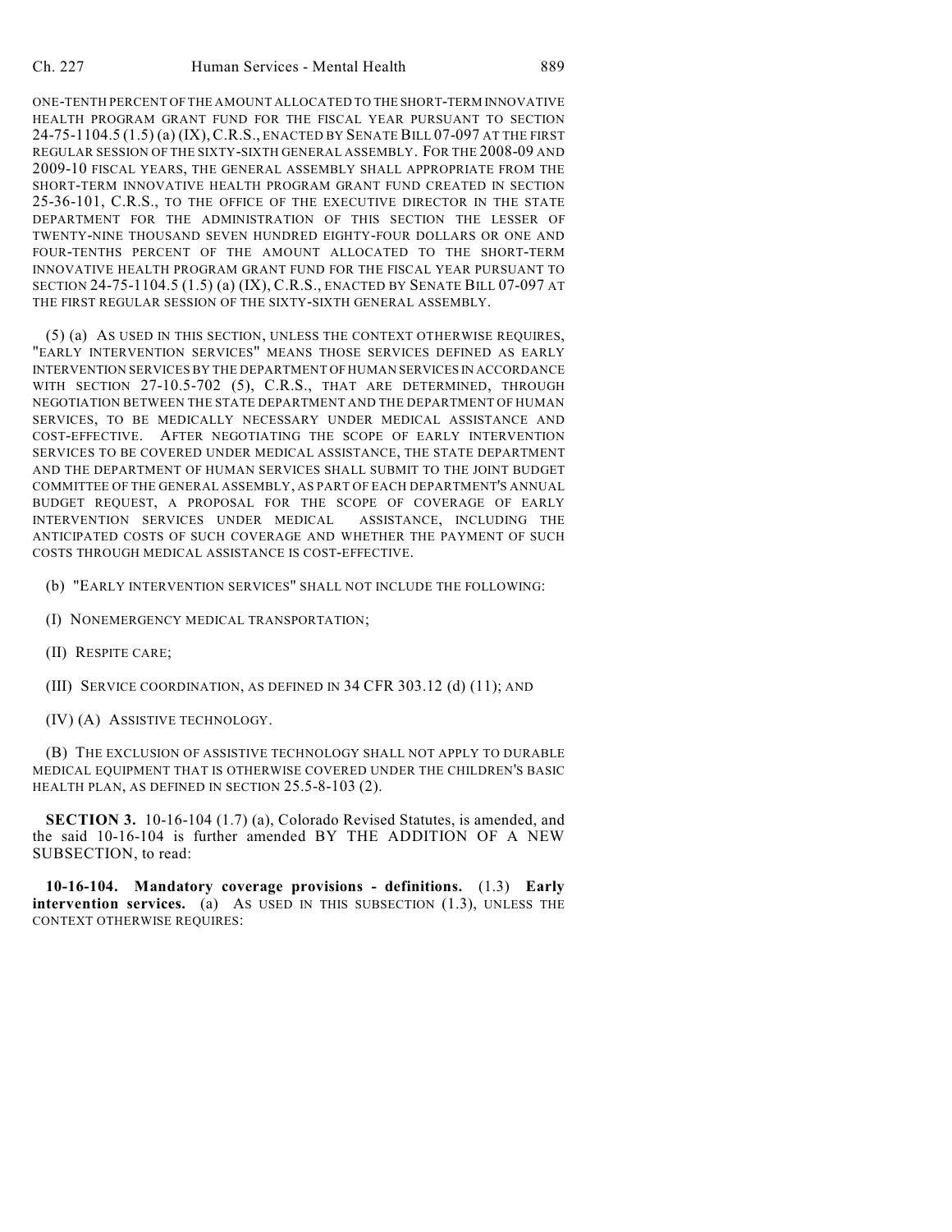ONE-TENTH PERCENT OF THE AMOUNT ALLOCATED TO THE SHORT-TERM INNOVATIVE HEALTH PROGRAM GRANT FUND FOR THE FISCAL YEAR PURSUANT TO SECTION 24-75-1104.5 (1.5) (a) (IX),C.R.S., ENACTED BY SENATE BILL 07-097 AT THE FIRST REGULAR SESSION OF THE SIXTY-SIXTH GENERAL ASSEMBLY. FOR THE 2008-09 AND 2009-10 FISCAL YEARS, THE GENERAL ASSEMBLY SHALL APPROPRIATE FROM THE SHORT-TERM INNOVATIVE HEALTH PROGRAM GRANT FUND CREATED IN SECTION 25-36-101, C.R.S., TO THE OFFICE OF THE EXECUTIVE DIRECTOR IN THE STATE DEPARTMENT FOR THE ADMINISTRATION OF THIS SECTION THE LESSER OF TWENTY-NINE THOUSAND SEVEN HUNDRED EIGHTY-FOUR DOLLARS OR ONE AND FOUR-TENTHS PERCENT OF THE AMOUNT ALLOCATED TO THE SHORT-TERM INNOVATIVE HEALTH PROGRAM GRANT FUND FOR THE FISCAL YEAR PURSUANT TO SECTION 24-75-1104.5 (1.5) (a) (IX), C.R.S., ENACTED BY SENATE BILL 07-097 AT THE FIRST REGULAR SESSION OF THE SIXTY-SIXTH GENERAL ASSEMBLY.

(5) (a) AS USED IN THIS SECTION, UNLESS THE CONTEXT OTHERWISE REQUIRES, "EARLY INTERVENTION SERVICES" MEANS THOSE SERVICES DEFINED AS EARLY INTERVENTION SERVICES BY THE DEPARTMENT OF HUMAN SERVICES IN ACCORDANCE WITH SECTION 27-10.5-702 (5), C.R.S., THAT ARE DETERMINED, THROUGH NEGOTIATION BETWEEN THE STATE DEPARTMENT AND THE DEPARTMENT OF HUMAN SERVICES, TO BE MEDICALLY NECESSARY UNDER MEDICAL ASSISTANCE AND COST-EFFECTIVE. AFTER NEGOTIATING THE SCOPE OF EARLY INTERVENTION SERVICES TO BE COVERED UNDER MEDICAL ASSISTANCE, THE STATE DEPARTMENT AND THE DEPARTMENT OF HUMAN SERVICES SHALL SUBMIT TO THE JOINT BUDGET COMMITTEE OF THE GENERAL ASSEMBLY, AS PART OF EACH DEPARTMENT'S ANNUAL BUDGET REQUEST, A PROPOSAL FOR THE SCOPE OF COVERAGE OF EARLY INTERVENTION SERVICES UNDER MEDICAL ASSISTANCE, INCLUDING THE ANTICIPATED COSTS OF SUCH COVERAGE AND WHETHER THE PAYMENT OF SUCH COSTS THROUGH MEDICAL ASSISTANCE IS COST-EFFECTIVE.

- (b) "EARLY INTERVENTION SERVICES" SHALL NOT INCLUDE THE FOLLOWING:
- (I) NONEMERGENCY MEDICAL TRANSPORTATION;
- (II) RESPITE CARE;
- (III) SERVICE COORDINATION, AS DEFINED IN 34 CFR 303.12 (d) (11); AND
- (IV) (A) ASSISTIVE TECHNOLOGY.

(B) THE EXCLUSION OF ASSISTIVE TECHNOLOGY SHALL NOT APPLY TO DURABLE MEDICAL EQUIPMENT THAT IS OTHERWISE COVERED UNDER THE CHILDREN'S BASIC HEALTH PLAN, AS DEFINED IN SECTION 25.5-8-103 (2).

**SECTION 3.** 10-16-104 (1.7) (a), Colorado Revised Statutes, is amended, and the said 10-16-104 is further amended BY THE ADDITION OF A NEW SUBSECTION, to read:

**10-16-104. Mandatory coverage provisions - definitions.** (1.3) **Early intervention services.** (a) AS USED IN THIS SUBSECTION (1.3), UNLESS THE CONTEXT OTHERWISE REQUIRES: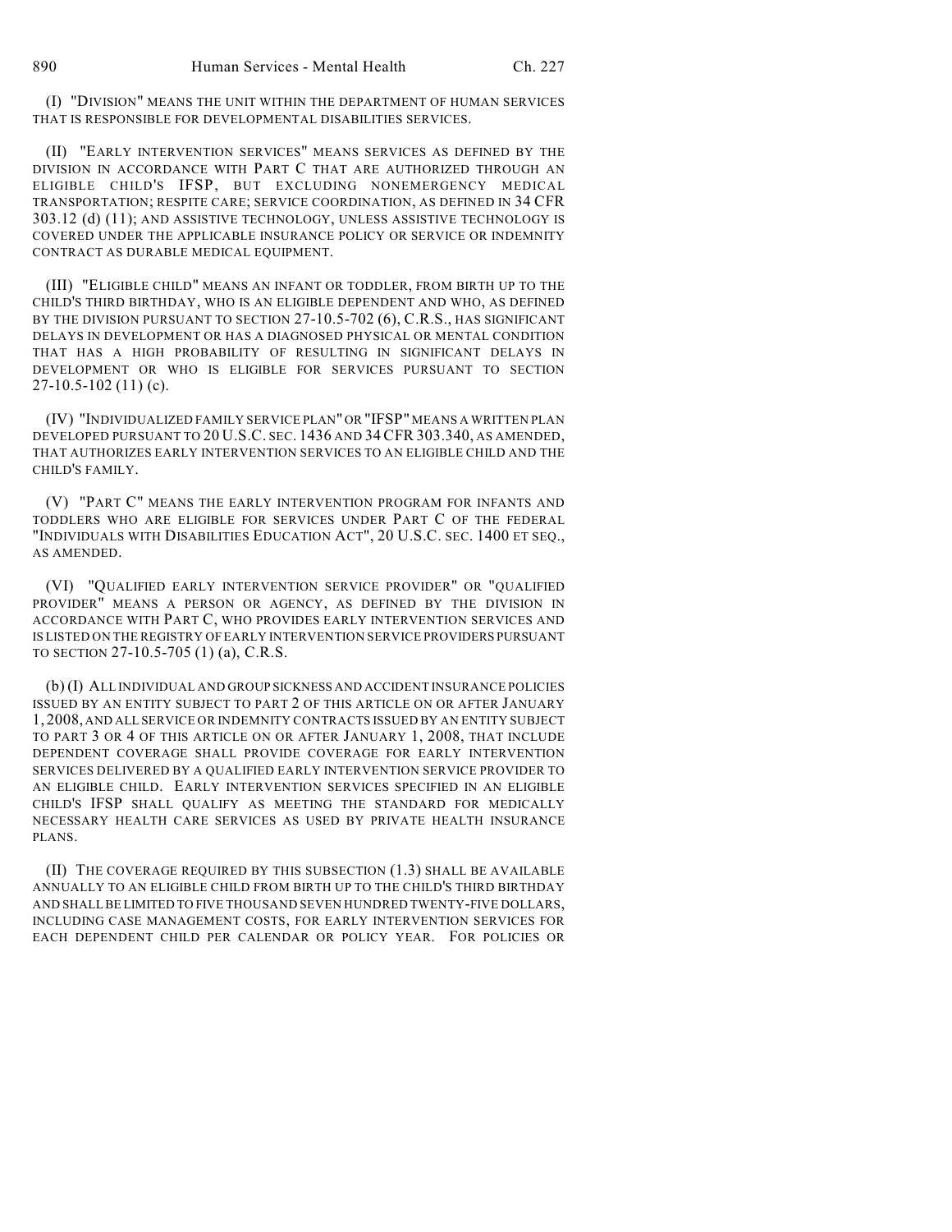(I) "DIVISION" MEANS THE UNIT WITHIN THE DEPARTMENT OF HUMAN SERVICES THAT IS RESPONSIBLE FOR DEVELOPMENTAL DISABILITIES SERVICES.

(II) "EARLY INTERVENTION SERVICES" MEANS SERVICES AS DEFINED BY THE DIVISION IN ACCORDANCE WITH PART C THAT ARE AUTHORIZED THROUGH AN ELIGIBLE CHILD'S IFSP, BUT EXCLUDING NONEMERGENCY MEDICAL TRANSPORTATION; RESPITE CARE; SERVICE COORDINATION, AS DEFINED IN 34 CFR 303.12 (d) (11); AND ASSISTIVE TECHNOLOGY, UNLESS ASSISTIVE TECHNOLOGY IS COVERED UNDER THE APPLICABLE INSURANCE POLICY OR SERVICE OR INDEMNITY CONTRACT AS DURABLE MEDICAL EQUIPMENT.

(III) "ELIGIBLE CHILD" MEANS AN INFANT OR TODDLER, FROM BIRTH UP TO THE CHILD'S THIRD BIRTHDAY, WHO IS AN ELIGIBLE DEPENDENT AND WHO, AS DEFINED BY THE DIVISION PURSUANT TO SECTION 27-10.5-702 (6), C.R.S., HAS SIGNIFICANT DELAYS IN DEVELOPMENT OR HAS A DIAGNOSED PHYSICAL OR MENTAL CONDITION THAT HAS A HIGH PROBABILITY OF RESULTING IN SIGNIFICANT DELAYS IN DEVELOPMENT OR WHO IS ELIGIBLE FOR SERVICES PURSUANT TO SECTION 27-10.5-102 (11) (c).

(IV) "INDIVIDUALIZED FAMILY SERVICE PLAN" OR "IFSP" MEANS A WRITTEN PLAN DEVELOPED PURSUANT TO 20 U.S.C. SEC. 1436 AND 34 CFR 303.340, AS AMENDED, THAT AUTHORIZES EARLY INTERVENTION SERVICES TO AN ELIGIBLE CHILD AND THE CHILD'S FAMILY.

(V) "PART C" MEANS THE EARLY INTERVENTION PROGRAM FOR INFANTS AND TODDLERS WHO ARE ELIGIBLE FOR SERVICES UNDER PART C OF THE FEDERAL "INDIVIDUALS WITH DISABILITIES EDUCATION ACT", 20 U.S.C. SEC. 1400 ET SEQ., AS AMENDED.

(VI) "QUALIFIED EARLY INTERVENTION SERVICE PROVIDER" OR "QUALIFIED PROVIDER" MEANS A PERSON OR AGENCY, AS DEFINED BY THE DIVISION IN ACCORDANCE WITH PART C, WHO PROVIDES EARLY INTERVENTION SERVICES AND IS LISTED ON THE REGISTRY OF EARLY INTERVENTION SERVICE PROVIDERS PURSUANT TO SECTION 27-10.5-705 (1) (a), C.R.S.

(b) (I) ALL INDIVIDUAL AND GROUP SICKNESS AND ACCIDENT INSURANCE POLICIES ISSUED BY AN ENTITY SUBJECT TO PART 2 OF THIS ARTICLE ON OR AFTER JANUARY 1, 2008, AND ALL SERVICE OR INDEMNITY CONTRACTS ISSUED BY AN ENTITY SUBJECT TO PART 3 OR 4 OF THIS ARTICLE ON OR AFTER JANUARY 1, 2008, THAT INCLUDE DEPENDENT COVERAGE SHALL PROVIDE COVERAGE FOR EARLY INTERVENTION SERVICES DELIVERED BY A QUALIFIED EARLY INTERVENTION SERVICE PROVIDER TO AN ELIGIBLE CHILD. EARLY INTERVENTION SERVICES SPECIFIED IN AN ELIGIBLE CHILD'S IFSP SHALL QUALIFY AS MEETING THE STANDARD FOR MEDICALLY NECESSARY HEALTH CARE SERVICES AS USED BY PRIVATE HEALTH INSURANCE PLANS.

(II) THE COVERAGE REQUIRED BY THIS SUBSECTION (1.3) SHALL BE AVAILABLE ANNUALLY TO AN ELIGIBLE CHILD FROM BIRTH UP TO THE CHILD'S THIRD BIRTHDAY AND SHALL BE LIMITED TO FIVE THOUSAND SEVEN HUNDRED TWENTY-FIVE DOLLARS, INCLUDING CASE MANAGEMENT COSTS, FOR EARLY INTERVENTION SERVICES FOR EACH DEPENDENT CHILD PER CALENDAR OR POLICY YEAR. FOR POLICIES OR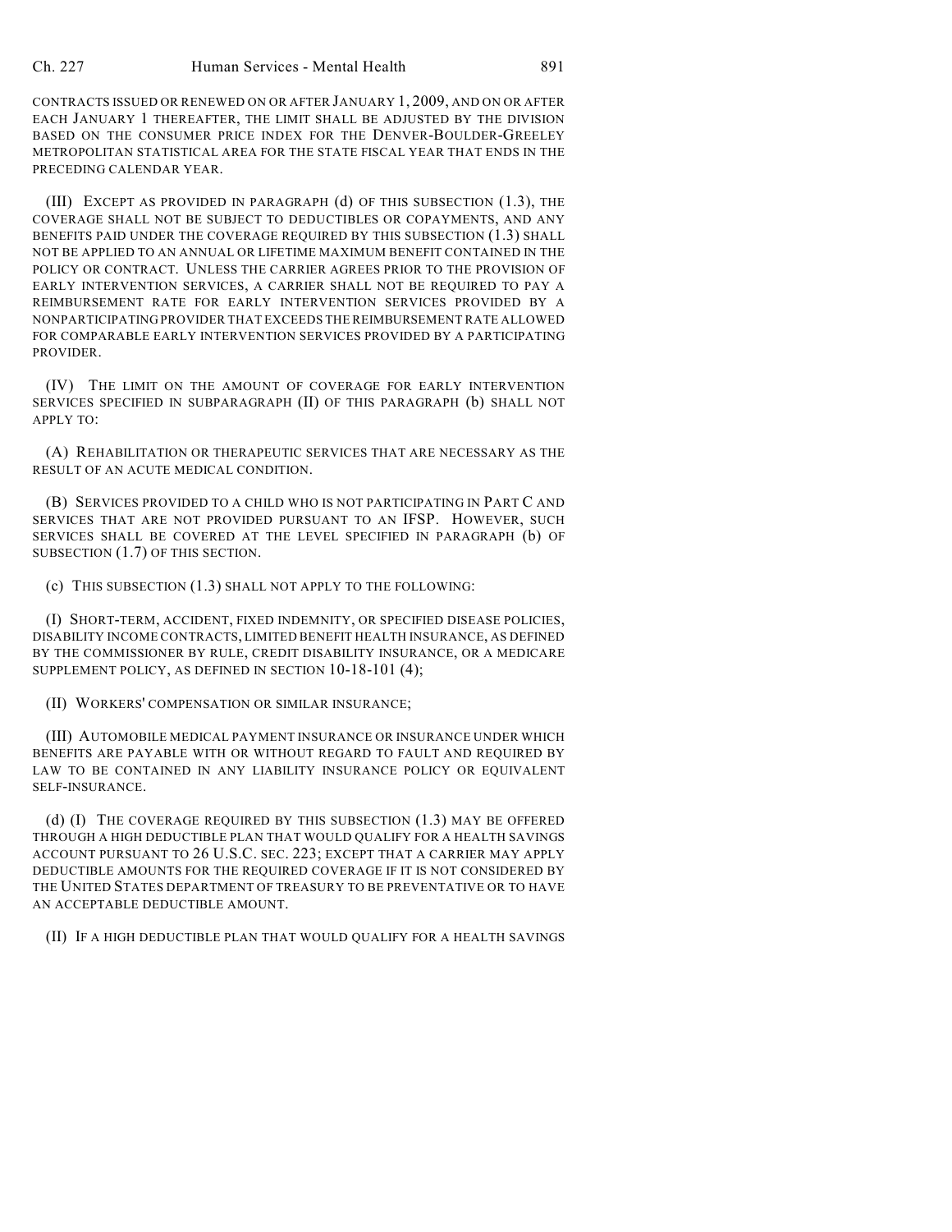CONTRACTS ISSUED OR RENEWED ON OR AFTER JANUARY 1, 2009, AND ON OR AFTER EACH JANUARY 1 THEREAFTER, THE LIMIT SHALL BE ADJUSTED BY THE DIVISION BASED ON THE CONSUMER PRICE INDEX FOR THE DENVER-BOULDER-GREELEY METROPOLITAN STATISTICAL AREA FOR THE STATE FISCAL YEAR THAT ENDS IN THE PRECEDING CALENDAR YEAR.

(III) EXCEPT AS PROVIDED IN PARAGRAPH (d) OF THIS SUBSECTION (1.3), THE COVERAGE SHALL NOT BE SUBJECT TO DEDUCTIBLES OR COPAYMENTS, AND ANY BENEFITS PAID UNDER THE COVERAGE REQUIRED BY THIS SUBSECTION (1.3) SHALL NOT BE APPLIED TO AN ANNUAL OR LIFETIME MAXIMUM BENEFIT CONTAINED IN THE POLICY OR CONTRACT. UNLESS THE CARRIER AGREES PRIOR TO THE PROVISION OF EARLY INTERVENTION SERVICES, A CARRIER SHALL NOT BE REQUIRED TO PAY A REIMBURSEMENT RATE FOR EARLY INTERVENTION SERVICES PROVIDED BY A NONPARTICIPATING PROVIDER THAT EXCEEDS THE REIMBURSEMENT RATE ALLOWED FOR COMPARABLE EARLY INTERVENTION SERVICES PROVIDED BY A PARTICIPATING PROVIDER.

(IV) THE LIMIT ON THE AMOUNT OF COVERAGE FOR EARLY INTERVENTION SERVICES SPECIFIED IN SUBPARAGRAPH (II) OF THIS PARAGRAPH (b) SHALL NOT APPLY TO:

(A) REHABILITATION OR THERAPEUTIC SERVICES THAT ARE NECESSARY AS THE RESULT OF AN ACUTE MEDICAL CONDITION.

(B) SERVICES PROVIDED TO A CHILD WHO IS NOT PARTICIPATING IN PART C AND SERVICES THAT ARE NOT PROVIDED PURSUANT TO AN IFSP. HOWEVER, SUCH SERVICES SHALL BE COVERED AT THE LEVEL SPECIFIED IN PARAGRAPH (b) OF SUBSECTION (1.7) OF THIS SECTION.

(c) THIS SUBSECTION (1.3) SHALL NOT APPLY TO THE FOLLOWING:

(I) SHORT-TERM, ACCIDENT, FIXED INDEMNITY, OR SPECIFIED DISEASE POLICIES, DISABILITY INCOME CONTRACTS, LIMITED BENEFIT HEALTH INSURANCE, AS DEFINED BY THE COMMISSIONER BY RULE, CREDIT DISABILITY INSURANCE, OR A MEDICARE SUPPLEMENT POLICY, AS DEFINED IN SECTION 10-18-101 (4);

(II) WORKERS' COMPENSATION OR SIMILAR INSURANCE;

(III) AUTOMOBILE MEDICAL PAYMENT INSURANCE OR INSURANCE UNDER WHICH BENEFITS ARE PAYABLE WITH OR WITHOUT REGARD TO FAULT AND REQUIRED BY LAW TO BE CONTAINED IN ANY LIABILITY INSURANCE POLICY OR EQUIVALENT SELF-INSURANCE.

(d) (I) THE COVERAGE REQUIRED BY THIS SUBSECTION (1.3) MAY BE OFFERED THROUGH A HIGH DEDUCTIBLE PLAN THAT WOULD QUALIFY FOR A HEALTH SAVINGS ACCOUNT PURSUANT TO 26 U.S.C. SEC. 223; EXCEPT THAT A CARRIER MAY APPLY DEDUCTIBLE AMOUNTS FOR THE REQUIRED COVERAGE IF IT IS NOT CONSIDERED BY THE UNITED STATES DEPARTMENT OF TREASURY TO BE PREVENTATIVE OR TO HAVE AN ACCEPTABLE DEDUCTIBLE AMOUNT.

(II) IF A HIGH DEDUCTIBLE PLAN THAT WOULD QUALIFY FOR A HEALTH SAVINGS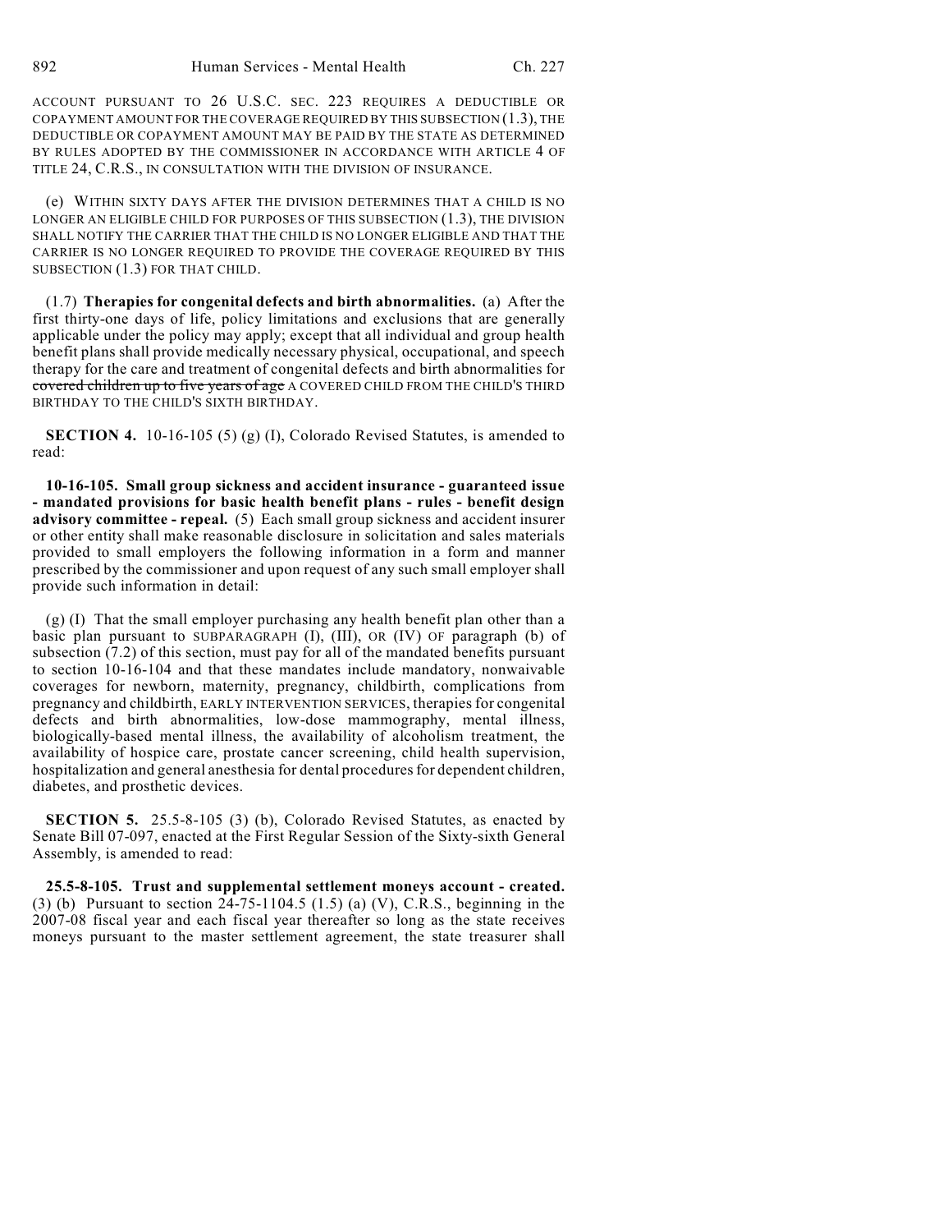ACCOUNT PURSUANT TO 26 U.S.C. SEC. 223 REQUIRES A DEDUCTIBLE OR COPAYMENT AMOUNT FOR THE COVERAGE REQUIRED BY THIS SUBSECTION (1.3), THE DEDUCTIBLE OR COPAYMENT AMOUNT MAY BE PAID BY THE STATE AS DETERMINED BY RULES ADOPTED BY THE COMMISSIONER IN ACCORDANCE WITH ARTICLE 4 OF TITLE 24, C.R.S., IN CONSULTATION WITH THE DIVISION OF INSURANCE.

(e) WITHIN SIXTY DAYS AFTER THE DIVISION DETERMINES THAT A CHILD IS NO LONGER AN ELIGIBLE CHILD FOR PURPOSES OF THIS SUBSECTION (1.3), THE DIVISION SHALL NOTIFY THE CARRIER THAT THE CHILD IS NO LONGER ELIGIBLE AND THAT THE CARRIER IS NO LONGER REQUIRED TO PROVIDE THE COVERAGE REQUIRED BY THIS SUBSECTION (1.3) FOR THAT CHILD.

(1.7) **Therapies for congenital defects and birth abnormalities.** (a) After the first thirty-one days of life, policy limitations and exclusions that are generally applicable under the policy may apply; except that all individual and group health benefit plans shall provide medically necessary physical, occupational, and speech therapy for the care and treatment of congenital defects and birth abnormalities for covered children up to five years of age A COVERED CHILD FROM THE CHILD'S THIRD BIRTHDAY TO THE CHILD'S SIXTH BIRTHDAY.

**SECTION 4.** 10-16-105 (5) (g) (I), Colorado Revised Statutes, is amended to read:

**10-16-105. Small group sickness and accident insurance - guaranteed issue - mandated provisions for basic health benefit plans - rules - benefit design advisory committee - repeal.** (5) Each small group sickness and accident insurer or other entity shall make reasonable disclosure in solicitation and sales materials provided to small employers the following information in a form and manner prescribed by the commissioner and upon request of any such small employer shall provide such information in detail:

(g) (I) That the small employer purchasing any health benefit plan other than a basic plan pursuant to SUBPARAGRAPH (I), (III), OR (IV) OF paragraph (b) of subsection (7.2) of this section, must pay for all of the mandated benefits pursuant to section 10-16-104 and that these mandates include mandatory, nonwaivable coverages for newborn, maternity, pregnancy, childbirth, complications from pregnancy and childbirth, EARLY INTERVENTION SERVICES, therapies for congenital defects and birth abnormalities, low-dose mammography, mental illness, biologically-based mental illness, the availability of alcoholism treatment, the availability of hospice care, prostate cancer screening, child health supervision, hospitalization and general anesthesia for dental procedures for dependent children, diabetes, and prosthetic devices.

**SECTION 5.** 25.5-8-105 (3) (b), Colorado Revised Statutes, as enacted by Senate Bill 07-097, enacted at the First Regular Session of the Sixty-sixth General Assembly, is amended to read:

**25.5-8-105. Trust and supplemental settlement moneys account - created.** (3) (b) Pursuant to section 24-75-1104.5 (1.5) (a) (V), C.R.S., beginning in the 2007-08 fiscal year and each fiscal year thereafter so long as the state receives moneys pursuant to the master settlement agreement, the state treasurer shall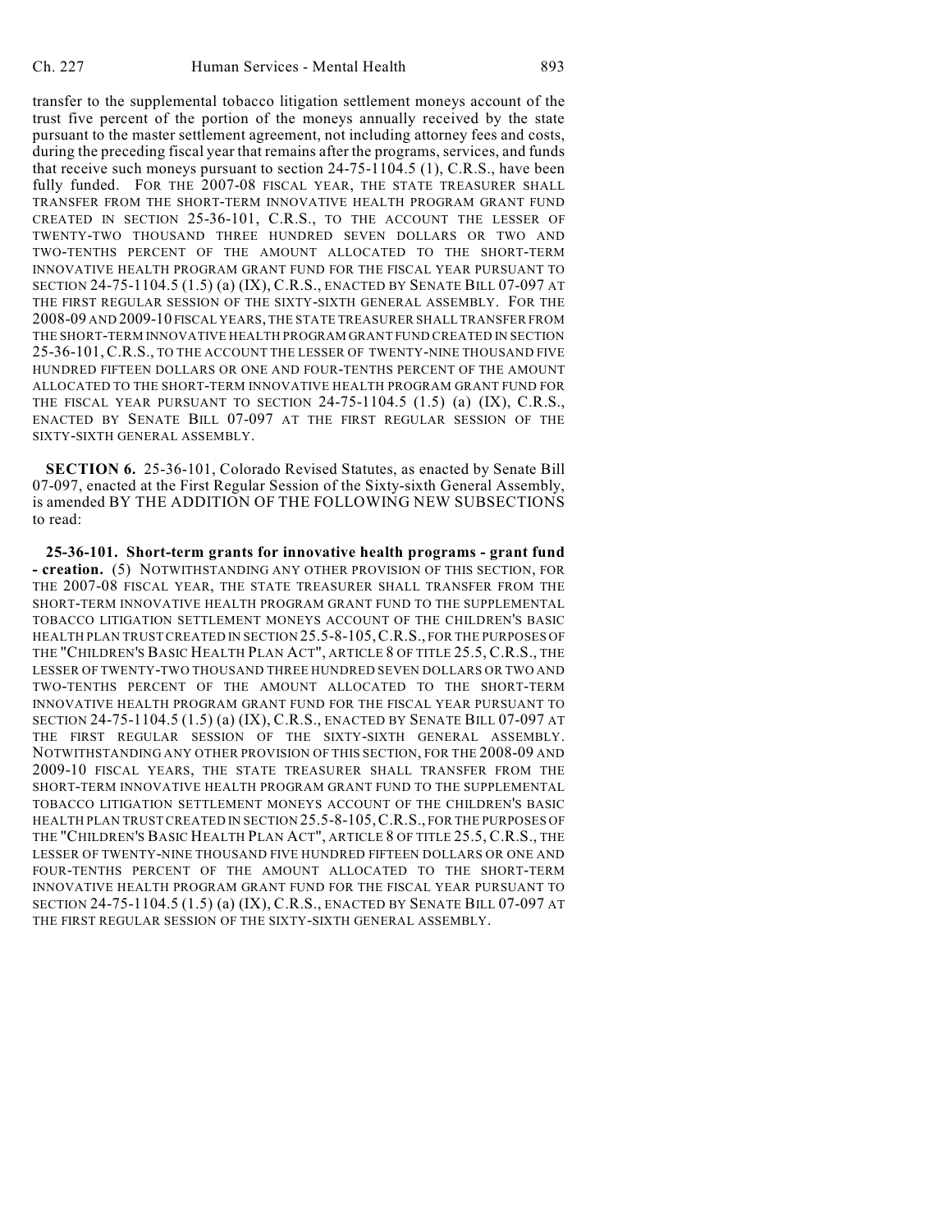transfer to the supplemental tobacco litigation settlement moneys account of the trust five percent of the portion of the moneys annually received by the state pursuant to the master settlement agreement, not including attorney fees and costs, during the preceding fiscal year that remains after the programs, services, and funds that receive such moneys pursuant to section 24-75-1104.5 (1), C.R.S., have been fully funded. FOR THE 2007-08 FISCAL YEAR, THE STATE TREASURER SHALL TRANSFER FROM THE SHORT-TERM INNOVATIVE HEALTH PROGRAM GRANT FUND CREATED IN SECTION 25-36-101, C.R.S., TO THE ACCOUNT THE LESSER OF TWENTY-TWO THOUSAND THREE HUNDRED SEVEN DOLLARS OR TWO AND TWO-TENTHS PERCENT OF THE AMOUNT ALLOCATED TO THE SHORT-TERM INNOVATIVE HEALTH PROGRAM GRANT FUND FOR THE FISCAL YEAR PURSUANT TO SECTION 24-75-1104.5 (1.5) (a) (IX), C.R.S., ENACTED BY SENATE BILL 07-097 AT THE FIRST REGULAR SESSION OF THE SIXTY-SIXTH GENERAL ASSEMBLY. FOR THE 2008-09 AND 2009-10 FISCAL YEARS, THE STATE TREASURER SHALL TRANSFER FROM THE SHORT-TERM INNOVATIVE HEALTH PROGRAM GRANT FUND CREATED IN SECTION 25-36-101, C.R.S., TO THE ACCOUNT THE LESSER OF TWENTY-NINE THOUSAND FIVE HUNDRED FIFTEEN DOLLARS OR ONE AND FOUR-TENTHS PERCENT OF THE AMOUNT ALLOCATED TO THE SHORT-TERM INNOVATIVE HEALTH PROGRAM GRANT FUND FOR THE FISCAL YEAR PURSUANT TO SECTION 24-75-1104.5 (1.5) (a) (IX), C.R.S., ENACTED BY SENATE BILL 07-097 AT THE FIRST REGULAR SESSION OF THE SIXTY-SIXTH GENERAL ASSEMBLY.

**SECTION 6.** 25-36-101, Colorado Revised Statutes, as enacted by Senate Bill 07-097, enacted at the First Regular Session of the Sixty-sixth General Assembly, is amended BY THE ADDITION OF THE FOLLOWING NEW SUBSECTIONS to read:

**25-36-101. Short-term grants for innovative health programs - grant fund - creation.** (5) NOTWITHSTANDING ANY OTHER PROVISION OF THIS SECTION, FOR THE 2007-08 FISCAL YEAR, THE STATE TREASURER SHALL TRANSFER FROM THE SHORT-TERM INNOVATIVE HEALTH PROGRAM GRANT FUND TO THE SUPPLEMENTAL TOBACCO LITIGATION SETTLEMENT MONEYS ACCOUNT OF THE CHILDREN'S BASIC HEALTH PLAN TRUST CREATED IN SECTION 25.5-8-105,C.R.S., FOR THE PURPOSES OF THE "CHILDREN'S BASIC HEALTH PLAN ACT", ARTICLE 8 OF TITLE 25.5, C.R.S., THE LESSER OF TWENTY-TWO THOUSAND THREE HUNDRED SEVEN DOLLARS OR TWO AND TWO-TENTHS PERCENT OF THE AMOUNT ALLOCATED TO THE SHORT-TERM INNOVATIVE HEALTH PROGRAM GRANT FUND FOR THE FISCAL YEAR PURSUANT TO SECTION 24-75-1104.5 (1.5) (a) (IX), C.R.S., ENACTED BY SENATE BILL 07-097 AT THE FIRST REGULAR SESSION OF THE SIXTY-SIXTH GENERAL ASSEMBLY. NOTWITHSTANDING ANY OTHER PROVISION OF THIS SECTION, FOR THE 2008-09 AND 2009-10 FISCAL YEARS, THE STATE TREASURER SHALL TRANSFER FROM THE SHORT-TERM INNOVATIVE HEALTH PROGRAM GRANT FUND TO THE SUPPLEMENTAL TOBACCO LITIGATION SETTLEMENT MONEYS ACCOUNT OF THE CHILDREN'S BASIC HEALTH PLAN TRUST CREATED IN SECTION 25.5-8-105,C.R.S., FOR THE PURPOSES OF THE "CHILDREN'S BASIC HEALTH PLAN ACT", ARTICLE 8 OF TITLE 25.5, C.R.S., THE LESSER OF TWENTY-NINE THOUSAND FIVE HUNDRED FIFTEEN DOLLARS OR ONE AND FOUR-TENTHS PERCENT OF THE AMOUNT ALLOCATED TO THE SHORT-TERM INNOVATIVE HEALTH PROGRAM GRANT FUND FOR THE FISCAL YEAR PURSUANT TO SECTION 24-75-1104.5 (1.5) (a) (IX), C.R.S., ENACTED BY SENATE BILL 07-097 AT THE FIRST REGULAR SESSION OF THE SIXTY-SIXTH GENERAL ASSEMBLY.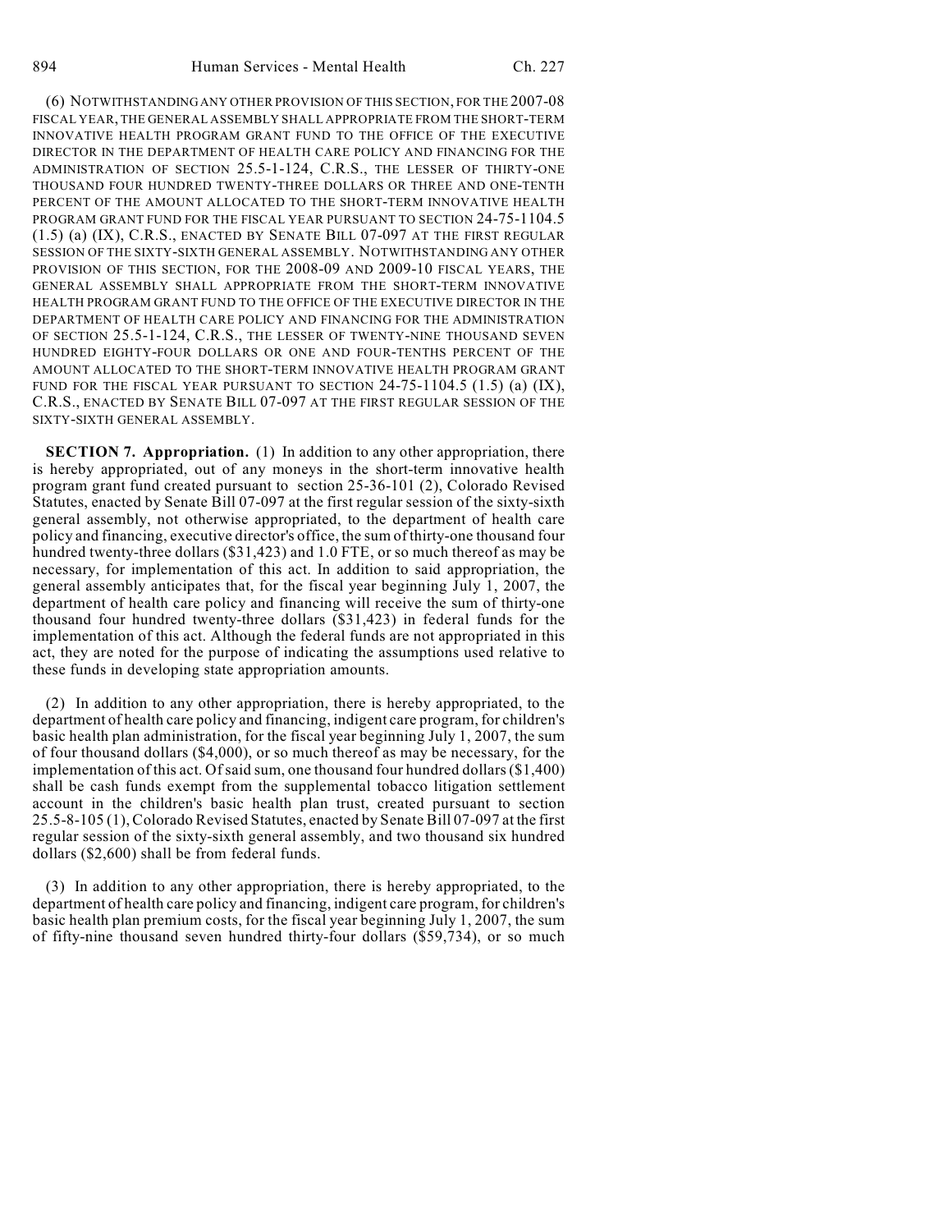(6) NOTWITHSTANDING ANY OTHER PROVISION OF THIS SECTION, FOR THE 2007-08 FISCAL YEAR, THE GENERAL ASSEMBLY SHALL APPROPRIATE FROM THE SHORT-TERM INNOVATIVE HEALTH PROGRAM GRANT FUND TO THE OFFICE OF THE EXECUTIVE DIRECTOR IN THE DEPARTMENT OF HEALTH CARE POLICY AND FINANCING FOR THE ADMINISTRATION OF SECTION 25.5-1-124, C.R.S., THE LESSER OF THIRTY-ONE THOUSAND FOUR HUNDRED TWENTY-THREE DOLLARS OR THREE AND ONE-TENTH PERCENT OF THE AMOUNT ALLOCATED TO THE SHORT-TERM INNOVATIVE HEALTH PROGRAM GRANT FUND FOR THE FISCAL YEAR PURSUANT TO SECTION 24-75-1104.5 (1.5) (a) (IX), C.R.S., ENACTED BY SENATE BILL 07-097 AT THE FIRST REGULAR SESSION OF THE SIXTY-SIXTH GENERAL ASSEMBLY. NOTWITHSTANDING ANY OTHER PROVISION OF THIS SECTION, FOR THE 2008-09 AND 2009-10 FISCAL YEARS, THE GENERAL ASSEMBLY SHALL APPROPRIATE FROM THE SHORT-TERM INNOVATIVE HEALTH PROGRAM GRANT FUND TO THE OFFICE OF THE EXECUTIVE DIRECTOR IN THE DEPARTMENT OF HEALTH CARE POLICY AND FINANCING FOR THE ADMINISTRATION OF SECTION 25.5-1-124, C.R.S., THE LESSER OF TWENTY-NINE THOUSAND SEVEN HUNDRED EIGHTY-FOUR DOLLARS OR ONE AND FOUR-TENTHS PERCENT OF THE AMOUNT ALLOCATED TO THE SHORT-TERM INNOVATIVE HEALTH PROGRAM GRANT FUND FOR THE FISCAL YEAR PURSUANT TO SECTION  $24-75-1104.5$  (1.5) (a) (IX), C.R.S., ENACTED BY SENATE BILL 07-097 AT THE FIRST REGULAR SESSION OF THE SIXTY-SIXTH GENERAL ASSEMBLY.

**SECTION 7. Appropriation.** (1) In addition to any other appropriation, there is hereby appropriated, out of any moneys in the short-term innovative health program grant fund created pursuant to section 25-36-101 (2), Colorado Revised Statutes, enacted by Senate Bill 07-097 at the first regular session of the sixty-sixth general assembly, not otherwise appropriated, to the department of health care policy and financing, executive director's office, the sum of thirty-one thousand four hundred twenty-three dollars (\$31,423) and 1.0 FTE, or so much thereof as may be necessary, for implementation of this act. In addition to said appropriation, the general assembly anticipates that, for the fiscal year beginning July 1, 2007, the department of health care policy and financing will receive the sum of thirty-one thousand four hundred twenty-three dollars (\$31,423) in federal funds for the implementation of this act. Although the federal funds are not appropriated in this act, they are noted for the purpose of indicating the assumptions used relative to these funds in developing state appropriation amounts.

(2) In addition to any other appropriation, there is hereby appropriated, to the department of health care policy and financing, indigent care program, for children's basic health plan administration, for the fiscal year beginning July 1, 2007, the sum of four thousand dollars (\$4,000), or so much thereof as may be necessary, for the implementation of this act. Of said sum, one thousand four hundred dollars (\$1,400) shall be cash funds exempt from the supplemental tobacco litigation settlement account in the children's basic health plan trust, created pursuant to section 25.5-8-105 (1), Colorado Revised Statutes, enacted by Senate Bill 07-097 at the first regular session of the sixty-sixth general assembly, and two thousand six hundred dollars (\$2,600) shall be from federal funds.

(3) In addition to any other appropriation, there is hereby appropriated, to the department of health care policy and financing, indigent care program, for children's basic health plan premium costs, for the fiscal year beginning July 1, 2007, the sum of fifty-nine thousand seven hundred thirty-four dollars (\$59,734), or so much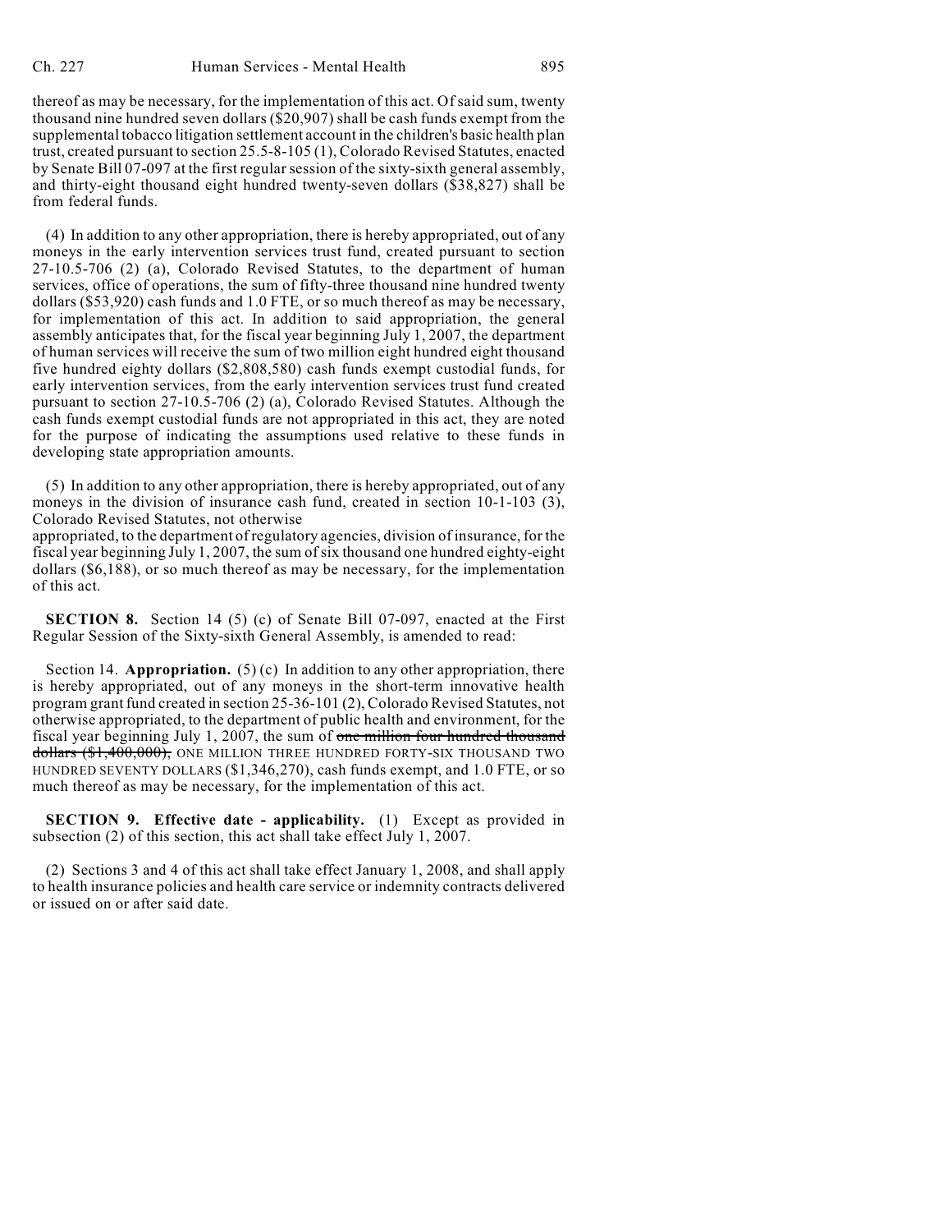thereof as may be necessary, for the implementation of this act. Of said sum, twenty thousand nine hundred seven dollars (\$20,907) shall be cash funds exempt from the supplemental tobacco litigation settlement account in the children's basic health plan trust, created pursuant to section 25.5-8-105 (1), Colorado Revised Statutes, enacted by Senate Bill 07-097 at the first regular session of the sixty-sixth general assembly, and thirty-eight thousand eight hundred twenty-seven dollars (\$38,827) shall be from federal funds.

(4) In addition to any other appropriation, there is hereby appropriated, out of any moneys in the early intervention services trust fund, created pursuant to section 27-10.5-706 (2) (a), Colorado Revised Statutes, to the department of human services, office of operations, the sum of fifty-three thousand nine hundred twenty dollars (\$53,920) cash funds and 1.0 FTE, or so much thereof as may be necessary, for implementation of this act. In addition to said appropriation, the general assembly anticipates that, for the fiscal year beginning July 1, 2007, the department of human services will receive the sum of two million eight hundred eight thousand five hundred eighty dollars (\$2,808,580) cash funds exempt custodial funds, for early intervention services, from the early intervention services trust fund created pursuant to section 27-10.5-706 (2) (a), Colorado Revised Statutes. Although the cash funds exempt custodial funds are not appropriated in this act, they are noted for the purpose of indicating the assumptions used relative to these funds in developing state appropriation amounts.

(5) In addition to any other appropriation, there is hereby appropriated, out of any moneys in the division of insurance cash fund, created in section 10-1-103 (3), Colorado Revised Statutes, not otherwise

appropriated, to the department of regulatory agencies, division of insurance, for the fiscal year beginning July 1, 2007, the sum of six thousand one hundred eighty-eight dollars (\$6,188), or so much thereof as may be necessary, for the implementation of this act.

**SECTION 8.** Section 14 (5) (c) of Senate Bill 07-097, enacted at the First Regular Session of the Sixty-sixth General Assembly, is amended to read:

Section 14. **Appropriation.** (5) (c) In addition to any other appropriation, there is hereby appropriated, out of any moneys in the short-term innovative health program grant fund created in section 25-36-101 (2), Colorado Revised Statutes, not otherwise appropriated, to the department of public health and environment, for the fiscal year beginning July 1, 2007, the sum of one million four hundred thousand dollars (\$1,400,000), ONE MILLION THREE HUNDRED FORTY-SIX THOUSAND TWO HUNDRED SEVENTY DOLLARS (\$1,346,270), cash funds exempt, and 1.0 FTE, or so much thereof as may be necessary, for the implementation of this act.

**SECTION 9. Effective date - applicability.** (1) Except as provided in subsection (2) of this section, this act shall take effect July 1, 2007.

(2) Sections 3 and 4 of this act shall take effect January 1, 2008, and shall apply to health insurance policies and health care service or indemnity contracts delivered or issued on or after said date.